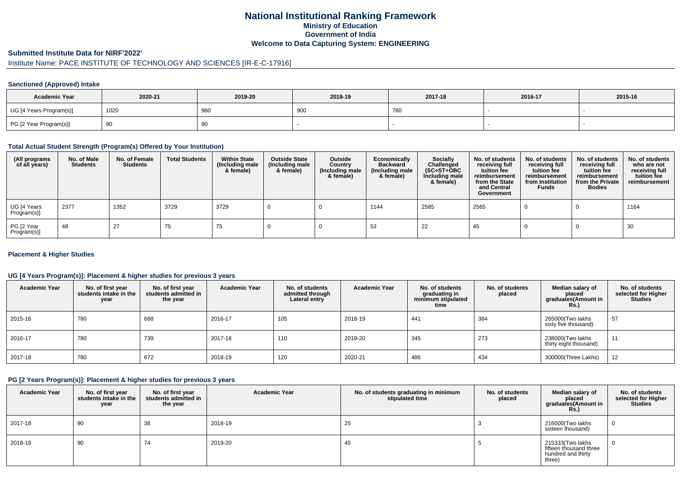## **National Institutional Ranking FrameworkMinistry of Education Government of IndiaWelcome to Data Capturing System: ENGINEERING**

#### **Submitted Institute Data for NIRF'2022'**

# Institute Name: PACE INSTITUTE OF TECHNOLOGY AND SCIENCES [IR-E-C-17916]

#### **Sanctioned (Approved) Intake**

| <b>Academic Year</b>    | 2020-21 | 2019-20 | 2018-19 | 2017-18 | 2016-17 | 2015-16 |
|-------------------------|---------|---------|---------|---------|---------|---------|
| UG [4 Years Program(s)] | 1020    | 960     | 900     | 780     |         |         |
| PG [2 Year Program(s)]  | ັບ      | 90      |         |         |         |         |

#### **Total Actual Student Strength (Program(s) Offered by Your Institution)**

| (All programs<br>of all years) | No. of Male<br><b>Students</b> | No. of Female<br>Students | <b>Total Students</b> | <b>Within State</b><br>(Including male<br>& female) | <b>Outside State</b><br>(Including male<br>& female) | Outside<br>Country<br>(Including male<br>& female) | Economically<br><b>Backward</b><br>(Including male<br>& female) | <b>Socially</b><br>Challenged<br>$(SC+ST+OBC)$<br>Including male<br>& female) | No. of students<br>receiving full<br>tuition fee<br>reimbursement<br>from the State<br>and Central<br>Government | No. of students<br>receiving full<br>tuition fee<br>reimbursement<br>from Institution<br><b>Funds</b> | No. of students<br>receiving full<br>tuition fee<br>reimbursement<br>from the Private<br><b>Bodies</b> | No. of students<br>who are not<br>receiving full<br>tuition fee<br>reimbursement |
|--------------------------------|--------------------------------|---------------------------|-----------------------|-----------------------------------------------------|------------------------------------------------------|----------------------------------------------------|-----------------------------------------------------------------|-------------------------------------------------------------------------------|------------------------------------------------------------------------------------------------------------------|-------------------------------------------------------------------------------------------------------|--------------------------------------------------------------------------------------------------------|----------------------------------------------------------------------------------|
| UG [4 Years<br>Program(s)]     | 2377                           | 1352                      | 3729                  | 3729                                                |                                                      |                                                    | 1144                                                            | 2585                                                                          | 2565                                                                                                             |                                                                                                       |                                                                                                        | 1164                                                                             |
| PG [2 Year<br>Program(s)]      | 48                             | 27                        | 75                    | 75                                                  |                                                      |                                                    | -53                                                             | 22                                                                            | -45                                                                                                              |                                                                                                       |                                                                                                        | 30                                                                               |

#### **Placement & Higher Studies**

#### **UG [4 Years Program(s)]: Placement & higher studies for previous 3 years**

| <b>Academic Year</b> | No. of first year<br>students intake in the<br>year | No. of first vear<br>students admitted in<br>the year | <b>Academic Year</b> | No. of students<br>admitted through<br>Lateral entry | <b>Academic Year</b> | No. of students<br>graduating in<br>minimum stipulated<br>time | No. of students<br>placed | Median salary of<br>placed<br>graduates(Amount in<br>Rs. | No. of students<br>selected for Higher<br><b>Studies</b> |
|----------------------|-----------------------------------------------------|-------------------------------------------------------|----------------------|------------------------------------------------------|----------------------|----------------------------------------------------------------|---------------------------|----------------------------------------------------------|----------------------------------------------------------|
| 2015-16              | 780                                                 | 688                                                   | 2016-17              | 105                                                  | 2018-19              | 441                                                            | 384                       | 265000(Two lakhs<br>sixty five thousand)                 | 57                                                       |
| 2016-17              | 780                                                 | 739                                                   | 2017-18              | 110                                                  | 2019-20              | 345                                                            | 273                       | 238000(Two lakhs<br>thirty eight thousand)               | 11                                                       |
| 2017-18              | 780                                                 | 672                                                   | 2018-19              | 120                                                  | 2020-21              | 486                                                            | 434                       | 300000(Three Lakhs)                                      | 12                                                       |

#### **PG [2 Years Program(s)]: Placement & higher studies for previous 3 years**

| <b>Academic Year</b> | No. of first year<br>students intake in the<br>year | No. of first year<br>students admitted in<br>the year | <b>Academic Year</b> | No. of students graduating in minimum<br>stipulated time | No. of students<br>placed | Median salary of<br>placed<br>graduates(Amount in<br><b>Rs.)</b>           | No. of students<br>selected for Higher<br><b>Studies</b> |
|----------------------|-----------------------------------------------------|-------------------------------------------------------|----------------------|----------------------------------------------------------|---------------------------|----------------------------------------------------------------------------|----------------------------------------------------------|
| 2017-18              | 90                                                  | 38                                                    | 2018-19              | 25                                                       |                           | 216000(Two lakhs<br>sixteen thousand)                                      | $\mathbf{0}$                                             |
| 2018-19              | 90                                                  | 74                                                    | 2019-20              | 45                                                       |                           | 215333(Two lakhs<br>fifteen thousand three<br>hundred and thirty<br>three) | $\mathbf{0}$                                             |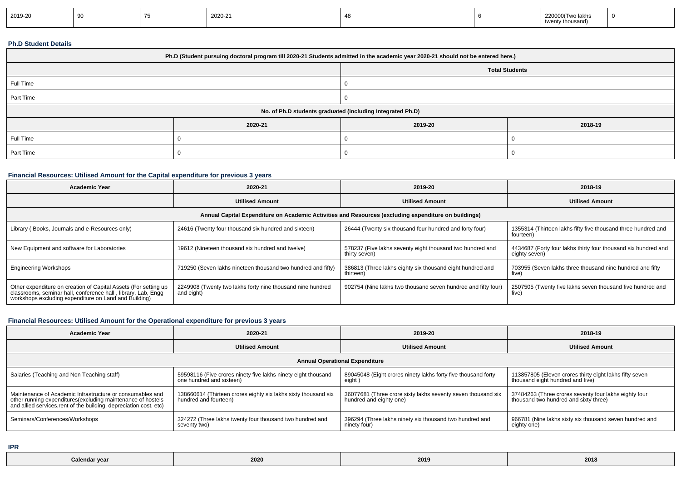| 2019-20 | <u>vv</u> |  | 2020-21 |  |  | 220000 (Two lakhs<br>twenty thousand) | - 0 |
|---------|-----------|--|---------|--|--|---------------------------------------|-----|
|---------|-----------|--|---------|--|--|---------------------------------------|-----|

#### **Ph.D Student Details**

| Ph.D (Student pursuing doctoral program till 2020-21 Students admitted in the academic year 2020-21 should not be entered here.) |         |         |         |  |  |  |
|----------------------------------------------------------------------------------------------------------------------------------|---------|---------|---------|--|--|--|
| <b>Total Students</b>                                                                                                            |         |         |         |  |  |  |
| Full Time                                                                                                                        |         |         |         |  |  |  |
| Part Time                                                                                                                        |         |         |         |  |  |  |
| No. of Ph.D students graduated (including Integrated Ph.D)                                                                       |         |         |         |  |  |  |
|                                                                                                                                  | 2020-21 | 2019-20 | 2018-19 |  |  |  |
| Full Time                                                                                                                        |         |         |         |  |  |  |
| Part Time                                                                                                                        |         |         |         |  |  |  |

### **Financial Resources: Utilised Amount for the Capital expenditure for previous 3 years**

| <b>Academic Year</b>                                                                                                                                                                      | 2020-21                                                                  | 2019-20                                                                    | 2018-19                                                                         |  |  |  |  |
|-------------------------------------------------------------------------------------------------------------------------------------------------------------------------------------------|--------------------------------------------------------------------------|----------------------------------------------------------------------------|---------------------------------------------------------------------------------|--|--|--|--|
|                                                                                                                                                                                           | <b>Utilised Amount</b>                                                   | <b>Utilised Amount</b>                                                     | <b>Utilised Amount</b>                                                          |  |  |  |  |
| Annual Capital Expenditure on Academic Activities and Resources (excluding expenditure on buildings)                                                                                      |                                                                          |                                                                            |                                                                                 |  |  |  |  |
| Library (Books, Journals and e-Resources only)                                                                                                                                            | 24616 (Twenty four thousand six hundred and sixteen)                     | 26444 (Twenty six thousand four hundred and forty four)                    | 1355314 (Thirteen lakhs fifty five thousand three hundred and<br>fourteen)      |  |  |  |  |
| New Equipment and software for Laboratories                                                                                                                                               | 19612 (Nineteen thousand six hundred and twelve)                         | 578237 (Five lakhs seventy eight thousand two hundred and<br>thirty seven) | 4434687 (Forty four lakhs thirty four thousand six hundred and<br>eighty seven) |  |  |  |  |
| <b>Engineering Workshops</b>                                                                                                                                                              | 719250 (Seven lakhs nineteen thousand two hundred and fifty)             | 386813 (Three lakhs eighty six thousand eight hundred and<br>thirteen)     | 703955 (Seven lakhs three thousand nine hundred and fifty<br>five)              |  |  |  |  |
| Other expenditure on creation of Capital Assets (For setting up<br>classrooms, seminar hall, conference hall, library, Lab, Engg<br>workshops excluding expenditure on Land and Building) | 2249908 (Twenty two lakhs forty nine thousand nine hundred<br>and eight) | 902754 (Nine lakhs two thousand seven hundred and fifty four)              | 2507505 (Twenty five lakhs seven thousand five hundred and<br>five)             |  |  |  |  |

# **Financial Resources: Utilised Amount for the Operational expenditure for previous 3 years**

| <b>Academic Year</b>                                                                                                                                                                            | 2020-21                                                                                   | 2019-20                                                                                 | 2018-19                                                                                        |  |  |  |  |
|-------------------------------------------------------------------------------------------------------------------------------------------------------------------------------------------------|-------------------------------------------------------------------------------------------|-----------------------------------------------------------------------------------------|------------------------------------------------------------------------------------------------|--|--|--|--|
|                                                                                                                                                                                                 | <b>Utilised Amount</b>                                                                    | <b>Utilised Amount</b>                                                                  | <b>Utilised Amount</b>                                                                         |  |  |  |  |
| <b>Annual Operational Expenditure</b>                                                                                                                                                           |                                                                                           |                                                                                         |                                                                                                |  |  |  |  |
| Salaries (Teaching and Non Teaching staff)                                                                                                                                                      | 59598116 (Five crores ninety five lakhs ninety eight thousand<br>one hundred and sixteen) | 89045048 (Eight crores ninety lakhs forty five thousand forty<br>eight )                | 113857805 (Eleven crores thirty eight lakhs fifty seven<br>thousand eight hundred and five)    |  |  |  |  |
| Maintenance of Academic Infrastructure or consumables and<br>other running expenditures (excluding maintenance of hostels<br>and allied services, rent of the building, depreciation cost, etc) | 138660614 (Thirteen crores eighty six lakhs sixty thousand six<br>hundred and fourteen)   | 36077681 (Three crore sixty lakhs seventy seven thousand six<br>hundred and eighty one) | 37484263 (Three crores seventy four lakhs eighty four<br>thousand two hundred and sixty three) |  |  |  |  |
| Seminars/Conferences/Workshops                                                                                                                                                                  | 324272 (Three lakhs twenty four thousand two hundred and<br>seventy two)                  | 396294 (Three lakhs ninety six thousand two hundred and<br>ninety four)                 | 966781 (Nine lakhs sixty six thousand seven hundred and<br>eighty one)                         |  |  |  |  |

**IPR**

| <b>Calendar year</b><br>2014<br>$-0.0$<br>$- - -$ |  | 2020 |  | 2018 |
|---------------------------------------------------|--|------|--|------|
|---------------------------------------------------|--|------|--|------|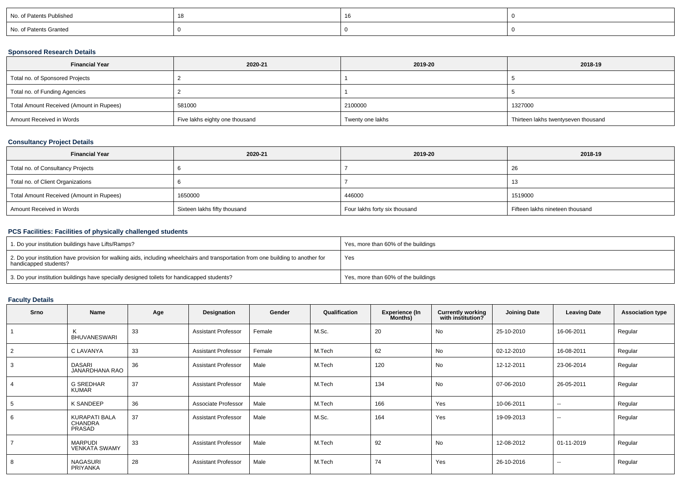| No. of Patents Published |  |  |
|--------------------------|--|--|
| No. of Patents Granted   |  |  |

#### **Sponsored Research Details**

| <b>Financial Year</b>                    | 2020-21                        | 2019-20          | 2018-19                             |
|------------------------------------------|--------------------------------|------------------|-------------------------------------|
| Total no. of Sponsored Projects          |                                |                  |                                     |
| Total no. of Funding Agencies            |                                |                  |                                     |
| Total Amount Received (Amount in Rupees) | 581000                         | 2100000          | 1327000                             |
| Amount Received in Words                 | Five lakhs eighty one thousand | Twenty one lakhs | Thirteen lakhs twentyseven thousand |

### **Consultancy Project Details**

| <b>Financial Year</b>                    | 2020-21                      | 2019-20                       | 2018-19                         |
|------------------------------------------|------------------------------|-------------------------------|---------------------------------|
| Total no. of Consultancy Projects        |                              |                               | 26                              |
| Total no. of Client Organizations        |                              |                               |                                 |
| Total Amount Received (Amount in Rupees) | 1650000                      | 446000                        | 1519000                         |
| Amount Received in Words                 | Sixteen lakhs fifty thousand | Four lakhs forty six thousand | Fifteen lakhs nineteen thousand |

### **PCS Facilities: Facilities of physically challenged students**

| 1. Do your institution buildings have Lifts/Ramps?                                                                                                         | Yes, more than 60% of the buildings |
|------------------------------------------------------------------------------------------------------------------------------------------------------------|-------------------------------------|
| 2. Do your institution have provision for walking aids, including wheelchairs and transportation from one building to another for<br>handicapped students? | Yes                                 |
| 3. Do your institution buildings have specially designed toilets for handicapped students?                                                                 | Yes, more than 60% of the buildings |

### **Faculty Details**

| <b>Srno</b> | Name                                             | Age | Designation                | Gender | Qualification | <b>Experience (In</b><br>Months) | <b>Currently working</b><br>with institution? | <b>Joining Date</b> | <b>Leaving Date</b>      | <b>Association type</b> |
|-------------|--------------------------------------------------|-----|----------------------------|--------|---------------|----------------------------------|-----------------------------------------------|---------------------|--------------------------|-------------------------|
|             | <b>BHUVANESWARI</b>                              | 33  | <b>Assistant Professor</b> | Female | M.Sc.         | 20                               | No                                            | 25-10-2010          | 16-06-2011               | Regular                 |
|             | C LAVANYA                                        | 33  | <b>Assistant Professor</b> | Female | M.Tech        | 62                               | No                                            | 02-12-2010          | 16-08-2011               | Regular                 |
| 3           | <b>DASARI</b><br>JANARDHANA RAO                  | 36  | <b>Assistant Professor</b> | Male   | M.Tech        | 120                              | No                                            | 12-12-2011          | 23-06-2014               | Regular                 |
|             | <b>G SREDHAR</b><br><b>KUMAR</b>                 | 37  | <b>Assistant Professor</b> | Male   | M.Tech        | 134                              | <b>No</b>                                     | 07-06-2010          | 26-05-2011               | Regular                 |
|             | K SANDEEP                                        | 36  | Associate Professor        | Male   | M.Tech        | 166                              | Yes                                           | 10-06-2011          | $\sim$                   | Regular                 |
| 6           | <b>KURAPATI BALA</b><br><b>CHANDRA</b><br>PRASAD | 37  | <b>Assistant Professor</b> | Male   | M.Sc.         | 164                              | Yes                                           | 19-09-2013          | $\sim$                   | Regular                 |
|             | <b>MARPUDI</b><br><b>VENKATA SWAMY</b>           | 33  | <b>Assistant Professor</b> | Male   | M.Tech        | 92                               | No                                            | 12-08-2012          | 01-11-2019               | Regular                 |
| 8           | <b>NAGASURI</b><br>PRIYANKA                      | 28  | <b>Assistant Professor</b> | Male   | M.Tech        | 74                               | Yes                                           | 26-10-2016          | $\overline{\phantom{a}}$ | Regular                 |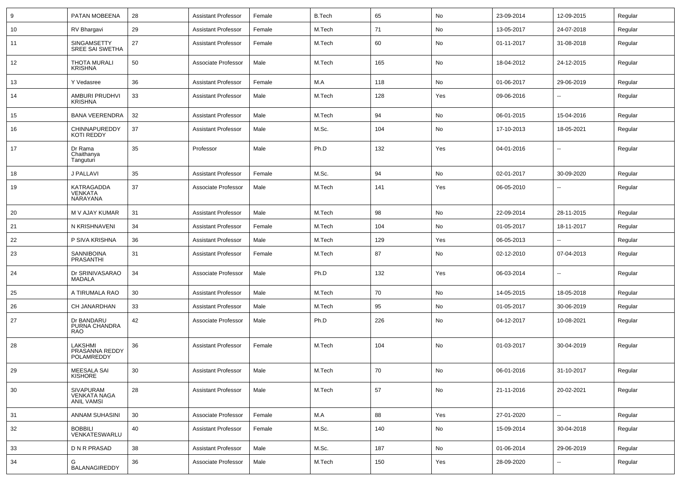| 9  | PATAN MOBEENA                                         | 28 | <b>Assistant Professor</b> | Female | <b>B.Tech</b> | 65  | No  | 23-09-2014 | 12-09-2015               | Regular |
|----|-------------------------------------------------------|----|----------------------------|--------|---------------|-----|-----|------------|--------------------------|---------|
| 10 | RV Bhargavi                                           | 29 | <b>Assistant Professor</b> | Female | M.Tech        | 71  | No  | 13-05-2017 | 24-07-2018               | Regular |
| 11 | SINGAMSETTY<br><b>SREE SAI SWETHA</b>                 | 27 | <b>Assistant Professor</b> | Female | M.Tech        | 60  | No  | 01-11-2017 | 31-08-2018               | Regular |
| 12 | THOTA MURALI<br><b>KRISHNA</b>                        | 50 | Associate Professor        | Male   | M.Tech        | 165 | No  | 18-04-2012 | 24-12-2015               | Regular |
| 13 | Y Vedasree                                            | 36 | <b>Assistant Professor</b> | Female | M.A           | 118 | No  | 01-06-2017 | 29-06-2019               | Regular |
| 14 | AMBURI PRUDHVI<br><b>KRISHNA</b>                      | 33 | <b>Assistant Professor</b> | Male   | M.Tech        | 128 | Yes | 09-06-2016 |                          | Regular |
| 15 | <b>BANA VEERENDRA</b>                                 | 32 | <b>Assistant Professor</b> | Male   | M.Tech        | 94  | No  | 06-01-2015 | 15-04-2016               | Regular |
| 16 | CHINNAPUREDDY<br>KOTI REDDY                           | 37 | <b>Assistant Professor</b> | Male   | M.Sc.         | 104 | No  | 17-10-2013 | 18-05-2021               | Regular |
| 17 | Dr Rama<br>Chaithanya<br>Tanguturi                    | 35 | Professor                  | Male   | Ph.D          | 132 | Yes | 04-01-2016 |                          | Regular |
| 18 | J PALLAVI                                             | 35 | <b>Assistant Professor</b> | Female | M.Sc.         | 94  | No  | 02-01-2017 | 30-09-2020               | Regular |
| 19 | KATRAGADDA<br><b>VENKATA</b><br>NARAYANA              | 37 | Associate Professor        | Male   | M.Tech        | 141 | Yes | 06-05-2010 |                          | Regular |
| 20 | M V AJAY KUMAR                                        | 31 | <b>Assistant Professor</b> | Male   | M.Tech        | 98  | No  | 22-09-2014 | 28-11-2015               | Regular |
| 21 | N KRISHNAVENI                                         | 34 | <b>Assistant Professor</b> | Female | M.Tech        | 104 | No  | 01-05-2017 | 18-11-2017               | Regular |
| 22 | P SIVA KRISHNA                                        | 36 | <b>Assistant Professor</b> | Male   | M.Tech        | 129 | Yes | 06-05-2013 |                          | Regular |
| 23 | <b>SANNIBOINA</b><br>PRASANTHI                        | 31 | <b>Assistant Professor</b> | Female | M.Tech        | 87  | No  | 02-12-2010 | 07-04-2013               | Regular |
| 24 | Dr SRINIVASARAO<br>MADALA                             | 34 | Associate Professor        | Male   | Ph.D          | 132 | Yes | 06-03-2014 | $\overline{\phantom{a}}$ | Regular |
| 25 | A TIRUMALA RAO                                        | 30 | <b>Assistant Professor</b> | Male   | M.Tech        | 70  | No  | 14-05-2015 | 18-05-2018               | Regular |
| 26 | CH JANARDHAN                                          | 33 | <b>Assistant Professor</b> | Male   | M.Tech        | 95  | No  | 01-05-2017 | 30-06-2019               | Regular |
| 27 | Dr BANDARU<br>PURNA CHANDRA<br><b>RAO</b>             | 42 | Associate Professor        | Male   | Ph.D          | 226 | No  | 04-12-2017 | 10-08-2021               | Regular |
| 28 | LAKSHMI<br>PRASANNA REDDY<br>POLAMREDDY               | 36 | <b>Assistant Professor</b> | Female | M.Tech        | 104 | No  | 01-03-2017 | 30-04-2019               | Regular |
| 29 | MEESALA SAI<br>KISHORE                                | 30 | Assistant Professor        | Male   | M.Tech        | 70  | No  | 06-01-2016 | 31-10-2017               | Regular |
| 30 | SIVAPURAM<br><b>VENKATA NAGA</b><br><b>ANIL VAMSI</b> | 28 | <b>Assistant Professor</b> | Male   | M.Tech        | 57  | No  | 21-11-2016 | 20-02-2021               | Regular |
| 31 | ANNAM SUHASINI                                        | 30 | Associate Professor        | Female | M.A           | 88  | Yes | 27-01-2020 | н.                       | Regular |
| 32 | <b>BOBBILI</b><br>VENKATESWARLU                       | 40 | <b>Assistant Professor</b> | Female | M.Sc.         | 140 | No  | 15-09-2014 | 30-04-2018               | Regular |
| 33 | D N R PRASAD                                          | 38 | <b>Assistant Professor</b> | Male   | M.Sc.         | 187 | No  | 01-06-2014 | 29-06-2019               | Regular |
| 34 | G<br><b>BALANAGIREDDY</b>                             | 36 | Associate Professor        | Male   | M.Tech        | 150 | Yes | 28-09-2020 | --                       | Regular |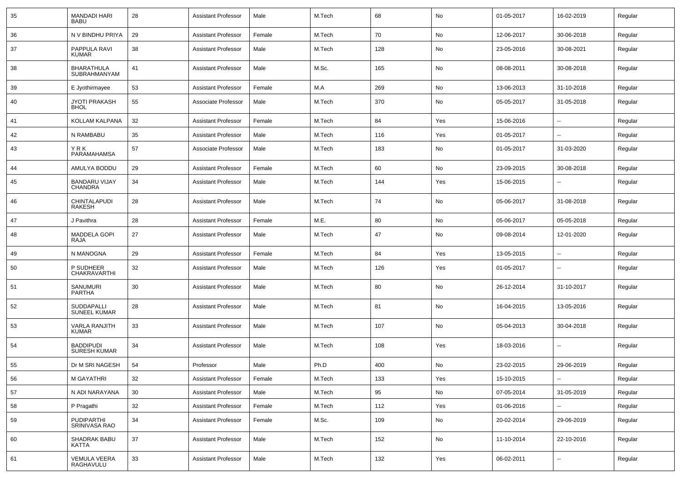| 35 | <b>MANDADI HARI</b><br><b>BABU</b>      | 28 | <b>Assistant Professor</b> | Male   | M.Tech | 68  | No  | 01-05-2017 | 16-02-2019               | Regular |
|----|-----------------------------------------|----|----------------------------|--------|--------|-----|-----|------------|--------------------------|---------|
| 36 | N V BINDHU PRIYA                        | 29 | <b>Assistant Professor</b> | Female | M.Tech | 70  | No  | 12-06-2017 | 30-06-2018               | Regular |
| 37 | PAPPULA RAVI<br>KUMAR                   | 38 | <b>Assistant Professor</b> | Male   | M.Tech | 128 | No  | 23-05-2016 | 30-08-2021               | Regular |
| 38 | <b>BHARATHULA</b><br>SUBRAHMANYAM       | 41 | <b>Assistant Professor</b> | Male   | M.Sc.  | 165 | No  | 08-08-2011 | 30-08-2018               | Regular |
| 39 | E Jyothirmayee                          | 53 | <b>Assistant Professor</b> | Female | M.A    | 269 | No  | 13-06-2013 | 31-10-2018               | Regular |
| 40 | <b>JYOTI PRAKASH</b><br><b>BHOL</b>     | 55 | Associate Professor        | Male   | M.Tech | 370 | No  | 05-05-2017 | 31-05-2018               | Regular |
| 41 | KOLLAM KALPANA                          | 32 | <b>Assistant Professor</b> | Female | M.Tech | 84  | Yes | 15-06-2016 | $\overline{\phantom{a}}$ | Regular |
| 42 | N RAMBABU                               | 35 | <b>Assistant Professor</b> | Male   | M.Tech | 116 | Yes | 01-05-2017 | $\overline{\phantom{a}}$ | Regular |
| 43 | YRK<br>PARAMAHAMSA                      | 57 | Associate Professor        | Male   | M.Tech | 183 | No  | 01-05-2017 | 31-03-2020               | Regular |
| 44 | AMULYA BODDU                            | 29 | <b>Assistant Professor</b> | Female | M.Tech | 60  | No  | 23-09-2015 | 30-08-2018               | Regular |
| 45 | <b>BANDARU VIJAY</b><br><b>CHANDRA</b>  | 34 | <b>Assistant Professor</b> | Male   | M.Tech | 144 | Yes | 15-06-2015 | $\overline{a}$           | Regular |
| 46 | CHINTALAPUDI<br>RAKESH                  | 28 | <b>Assistant Professor</b> | Male   | M.Tech | 74  | No  | 05-06-2017 | 31-08-2018               | Regular |
| 47 | J Pavithra                              | 28 | <b>Assistant Professor</b> | Female | M.E.   | 80  | No  | 05-06-2017 | 05-05-2018               | Regular |
| 48 | <b>MADDELA GOPI</b><br>RAJA             | 27 | <b>Assistant Professor</b> | Male   | M.Tech | 47  | No  | 09-08-2014 | 12-01-2020               | Regular |
| 49 | N MANOGNA                               | 29 | <b>Assistant Professor</b> | Female | M.Tech | 84  | Yes | 13-05-2015 | ⊷.                       | Regular |
| 50 | P SUDHEER<br><b>CHAKRAVARTHI</b>        | 32 | <b>Assistant Professor</b> | Male   | M.Tech | 126 | Yes | 01-05-2017 | --                       | Regular |
| 51 | SANUMURI<br>PARTHA                      | 30 | <b>Assistant Professor</b> | Male   | M.Tech | 80  | No  | 26-12-2014 | 31-10-2017               | Regular |
| 52 | SUDDAPALLI<br><b>SUNEEL KUMAR</b>       | 28 | <b>Assistant Professor</b> | Male   | M.Tech | 81  | No  | 16-04-2015 | 13-05-2016               | Regular |
| 53 | <b>VARLA RANJITH</b><br><b>KUMAR</b>    | 33 | <b>Assistant Professor</b> | Male   | M.Tech | 107 | No  | 05-04-2013 | 30-04-2018               | Regular |
| 54 | <b>BADDIPUDI</b><br><b>SURESH KUMAR</b> | 34 | <b>Assistant Professor</b> | Male   | M.Tech | 108 | Yes | 18-03-2016 | --                       | Regular |
| 55 | Dr M SRI NAGESH                         | 54 | Professor                  | Male   | Ph.D   | 400 | No  | 23-02-2015 | 29-06-2019               | Regular |
| 56 | M GAYATHRI                              | 32 | <b>Assistant Professor</b> | Female | M.Tech | 133 | Yes | 15-10-2015 | Щ,                       | Regular |
| 57 | N ADI NARAYANA                          | 30 | <b>Assistant Professor</b> | Male   | M.Tech | 95  | No  | 07-05-2014 | 31-05-2019               | Regular |
| 58 | P Pragathi                              | 32 | <b>Assistant Professor</b> | Female | M.Tech | 112 | Yes | 01-06-2016 | -−                       | Regular |
| 59 | PUDIPARTHI<br>SRINIVASA RAO             | 34 | <b>Assistant Professor</b> | Female | M.Sc.  | 109 | No  | 20-02-2014 | 29-06-2019               | Regular |
| 60 | SHADRAK BABU<br>KATTA                   | 37 | <b>Assistant Professor</b> | Male   | M.Tech | 152 | No  | 11-10-2014 | 22-10-2016               | Regular |
| 61 | VEMULA VEERA<br>RAGHAVULU               | 33 | <b>Assistant Professor</b> | Male   | M.Tech | 132 | Yes | 06-02-2011 | $\sim$                   | Regular |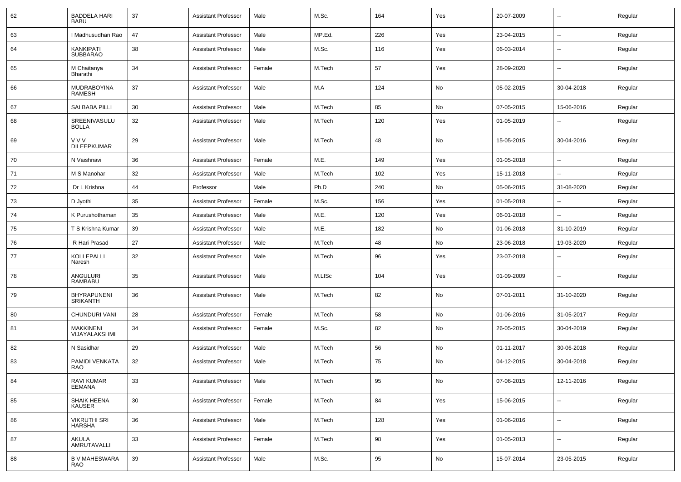| 62 | <b>BADDELA HARI</b><br><b>BABU</b>    | 37 | <b>Assistant Professor</b> | Male   | M.Sc.  | 164 | Yes | 20-07-2009 | --                       | Regular |
|----|---------------------------------------|----|----------------------------|--------|--------|-----|-----|------------|--------------------------|---------|
| 63 | I Madhusudhan Rao                     | 47 | <b>Assistant Professor</b> | Male   | MP.Ed. | 226 | Yes | 23-04-2015 | $\sim$                   | Regular |
| 64 | <b>KANKIPATI</b><br><b>SUBBARAO</b>   | 38 | <b>Assistant Professor</b> | Male   | M.Sc.  | 116 | Yes | 06-03-2014 | --                       | Regular |
| 65 | M Chaitanya<br>Bharathi               | 34 | <b>Assistant Professor</b> | Female | M.Tech | 57  | Yes | 28-09-2020 | --                       | Regular |
| 66 | <b>MUDRABOYINA</b><br><b>RAMESH</b>   | 37 | <b>Assistant Professor</b> | Male   | M.A    | 124 | No  | 05-02-2015 | 30-04-2018               | Regular |
| 67 | SAI BABA PILLI                        | 30 | <b>Assistant Professor</b> | Male   | M.Tech | 85  | No  | 07-05-2015 | 15-06-2016               | Regular |
| 68 | SREENIVASULU<br><b>BOLLA</b>          | 32 | <b>Assistant Professor</b> | Male   | M.Tech | 120 | Yes | 01-05-2019 | --                       | Regular |
| 69 | V V V<br><b>DILEEPKUMAR</b>           | 29 | <b>Assistant Professor</b> | Male   | M.Tech | 48  | No  | 15-05-2015 | 30-04-2016               | Regular |
| 70 | N Vaishnavi                           | 36 | <b>Assistant Professor</b> | Female | M.E.   | 149 | Yes | 01-05-2018 | --                       | Regular |
| 71 | M S Manohar                           | 32 | <b>Assistant Professor</b> | Male   | M.Tech | 102 | Yes | 15-11-2018 | --                       | Regular |
| 72 | Dr L Krishna                          | 44 | Professor                  | Male   | Ph.D   | 240 | No  | 05-06-2015 | 31-08-2020               | Regular |
| 73 | D Jyothi                              | 35 | <b>Assistant Professor</b> | Female | M.Sc.  | 156 | Yes | 01-05-2018 |                          | Regular |
| 74 | K Purushothaman                       | 35 | <b>Assistant Professor</b> | Male   | M.E.   | 120 | Yes | 06-01-2018 | $\sim$                   | Regular |
| 75 | T S Krishna Kumar                     | 39 | <b>Assistant Professor</b> | Male   | M.E.   | 182 | No  | 01-06-2018 | 31-10-2019               | Regular |
| 76 | R Hari Prasad                         | 27 | <b>Assistant Professor</b> | Male   | M.Tech | 48  | No  | 23-06-2018 | 19-03-2020               | Regular |
| 77 | KOLLEPALLI<br>Naresh                  | 32 | <b>Assistant Professor</b> | Male   | M.Tech | 96  | Yes | 23-07-2018 |                          | Regular |
| 78 | ANGULURI<br><b>RAMBABU</b>            | 35 | <b>Assistant Professor</b> | Male   | M.LISc | 104 | Yes | 01-09-2009 | ۰.                       | Regular |
| 79 | <b>BHYRAPUNENI</b><br><b>SRIKANTH</b> | 36 | <b>Assistant Professor</b> | Male   | M.Tech | 82  | No  | 07-01-2011 | 31-10-2020               | Regular |
| 80 | CHUNDURI VANI                         | 28 | <b>Assistant Professor</b> | Female | M.Tech | 58  | No  | 01-06-2016 | 31-05-2017               | Regular |
| 81 | <b>MAKKINENI</b><br>VIJAYALAKSHMI     | 34 | <b>Assistant Professor</b> | Female | M.Sc.  | 82  | No  | 26-05-2015 | 30-04-2019               | Regular |
| 82 | N Sasidhar                            | 29 | <b>Assistant Professor</b> | Male   | M.Tech | 56  | No  | 01-11-2017 | 30-06-2018               | Regular |
| 83 | PAMIDI VENKATA<br>RAO                 | 32 | <b>Assistant Professor</b> | Male   | M.Tech | 75  | No  | 04-12-2015 | 30-04-2018               | Regular |
| 84 | <b>RAVI KUMAR</b><br><b>EEMANA</b>    | 33 | <b>Assistant Professor</b> | Male   | M.Tech | 95  | No  | 07-06-2015 | 12-11-2016               | Regular |
| 85 | SHAIK HEENA<br><b>KAUSER</b>          | 30 | <b>Assistant Professor</b> | Female | M.Tech | 84  | Yes | 15-06-2015 | $\sim$                   | Regular |
| 86 | <b>VIKRUTHI SRI</b><br><b>HARSHA</b>  | 36 | <b>Assistant Professor</b> | Male   | M.Tech | 128 | Yes | 01-06-2016 | $\overline{\phantom{a}}$ | Regular |
| 87 | AKULA<br>AMRUTAVALLI                  | 33 | <b>Assistant Professor</b> | Female | M.Tech | 98  | Yes | 01-05-2013 | $\ddot{\phantom{a}}$     | Regular |
| 88 | <b>B V MAHESWARA</b><br><b>RAO</b>    | 39 | <b>Assistant Professor</b> | Male   | M.Sc.  | 95  | No  | 15-07-2014 | 23-05-2015               | Regular |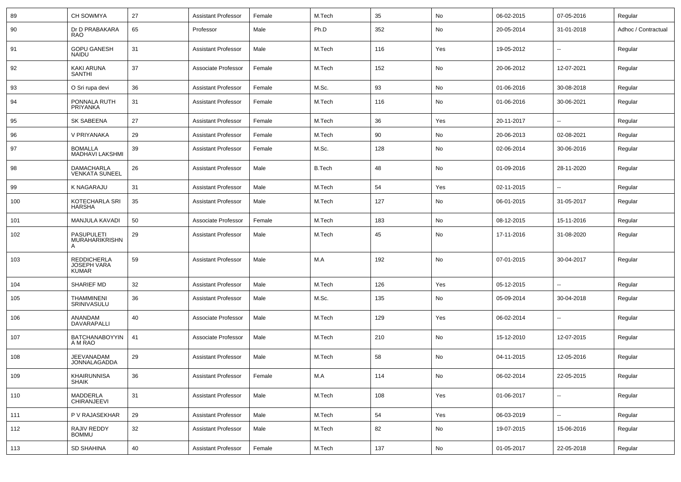| 89  | CH SOWMYA                                                | 27 | <b>Assistant Professor</b> | Female | M.Tech        | 35  | No  | 06-02-2015 | 07-05-2016               | Regular             |
|-----|----------------------------------------------------------|----|----------------------------|--------|---------------|-----|-----|------------|--------------------------|---------------------|
| 90  | Dr D PRABAKARA<br><b>RAO</b>                             | 65 | Professor                  | Male   | Ph.D          | 352 | No  | 20-05-2014 | 31-01-2018               | Adhoc / Contractual |
| 91  | <b>GOPU GANESH</b><br><b>NAIDU</b>                       | 31 | <b>Assistant Professor</b> | Male   | M.Tech        | 116 | Yes | 19-05-2012 | $\overline{\phantom{a}}$ | Regular             |
| 92  | KAKI ARUNA<br><b>SANTHI</b>                              | 37 | Associate Professor        | Female | M.Tech        | 152 | No  | 20-06-2012 | 12-07-2021               | Regular             |
| 93  | O Sri rupa devi                                          | 36 | <b>Assistant Professor</b> | Female | M.Sc.         | 93  | No  | 01-06-2016 | 30-08-2018               | Regular             |
| 94  | PONNALA RUTH<br>PRIYANKA                                 | 31 | <b>Assistant Professor</b> | Female | M.Tech        | 116 | No  | 01-06-2016 | 30-06-2021               | Regular             |
| 95  | SK SABEENA                                               | 27 | <b>Assistant Professor</b> | Female | M.Tech        | 36  | Yes | 20-11-2017 | $\overline{\phantom{a}}$ | Regular             |
| 96  | V PRIYANAKA                                              | 29 | <b>Assistant Professor</b> | Female | M.Tech        | 90  | No  | 20-06-2013 | 02-08-2021               | Regular             |
| 97  | <b>BOMALLA</b><br><b>MADHAVI LAKSHMI</b>                 | 39 | <b>Assistant Professor</b> | Female | M.Sc.         | 128 | No  | 02-06-2014 | 30-06-2016               | Regular             |
| 98  | <b>DAMACHARLA</b><br><b>VENKATA SUNEEL</b>               | 26 | <b>Assistant Professor</b> | Male   | <b>B.Tech</b> | 48  | No  | 01-09-2016 | 28-11-2020               | Regular             |
| 99  | <b>K NAGARAJU</b>                                        | 31 | <b>Assistant Professor</b> | Male   | M.Tech        | 54  | Yes | 02-11-2015 | $\ddotsc$                | Regular             |
| 100 | KOTECHARLA SRI<br>HARSHA                                 | 35 | <b>Assistant Professor</b> | Male   | M.Tech        | 127 | No  | 06-01-2015 | 31-05-2017               | Regular             |
| 101 | MANJULA KAVADI                                           | 50 | Associate Professor        | Female | M.Tech        | 183 | No  | 08-12-2015 | 15-11-2016               | Regular             |
| 102 | <b>PASUPULETI</b><br><b>MURAHARIKRISHN</b>               | 29 | <b>Assistant Professor</b> | Male   | M.Tech        | 45  | No  | 17-11-2016 | 31-08-2020               | Regular             |
| 103 | <b>REDDICHERLA</b><br><b>JOSEPH VARA</b><br><b>KUMAR</b> | 59 | <b>Assistant Professor</b> | Male   | M.A           | 192 | No  | 07-01-2015 | 30-04-2017               | Regular             |
| 104 | SHARIEF MD                                               | 32 | <b>Assistant Professor</b> | Male   | M.Tech        | 126 | Yes | 05-12-2015 | $\ddotsc$                | Regular             |
| 105 | <b>THAMMINENI</b><br>SRINIVASULU                         | 36 | <b>Assistant Professor</b> | Male   | M.Sc.         | 135 | No  | 05-09-2014 | 30-04-2018               | Regular             |
| 106 | ANANDAM<br>DAVARAPALLI                                   | 40 | Associate Professor        | Male   | M.Tech        | 129 | Yes | 06-02-2014 | $\overline{\phantom{a}}$ | Regular             |
| 107 | <b>BATCHANABOYYIN</b><br>A M RAO                         | 41 | Associate Professor        | Male   | M.Tech        | 210 | No  | 15-12-2010 | 12-07-2015               | Regular             |
| 108 | JEEVANADAM<br>JONNALAGADDA                               | 29 | <b>Assistant Professor</b> | Male   | M.Tech        | 58  | No  | 04-11-2015 | 12-05-2016               | Regular             |
| 109 | <b>KHAIRUNNISA</b><br><b>SHAIK</b>                       | 36 | <b>Assistant Professor</b> | Female | M.A           | 114 | No  | 06-02-2014 | 22-05-2015               | Regular             |
| 110 | MADDERLA<br>CHIRANJEEVI                                  | 31 | <b>Assistant Professor</b> | Male   | M.Tech        | 108 | Yes | 01-06-2017 | $\ddotsc$                | Regular             |
| 111 | P V RAJASEKHAR                                           | 29 | <b>Assistant Professor</b> | Male   | M.Tech        | 54  | Yes | 06-03-2019 | Ξ.                       | Regular             |
| 112 | RAJIV REDDY<br><b>BOMMU</b>                              | 32 | <b>Assistant Professor</b> | Male   | M.Tech        | 82  | No  | 19-07-2015 | 15-06-2016               | Regular             |
| 113 | SD SHAHINA                                               | 40 | <b>Assistant Professor</b> | Female | M.Tech        | 137 | No  | 01-05-2017 | 22-05-2018               | Regular             |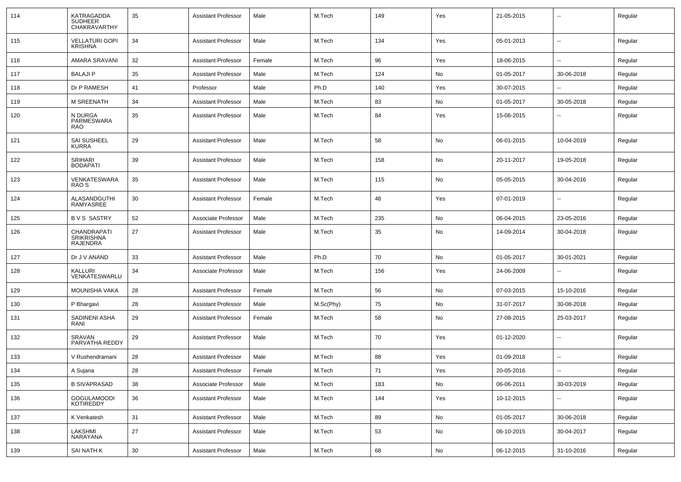| 114 | KATRAGADDA<br><b>SUDHEER</b><br><b>CHAKRAVARTHY</b> | 35 | <b>Assistant Professor</b> | Male   | M.Tech    | 149 | Yes | 21-05-2015 |                          | Regular |
|-----|-----------------------------------------------------|----|----------------------------|--------|-----------|-----|-----|------------|--------------------------|---------|
| 115 | <b>VELLATURI GOPI</b><br><b>KRISHNA</b>             | 34 | <b>Assistant Professor</b> | Male   | M.Tech    | 134 | Yes | 05-01-2013 | $\overline{\phantom{a}}$ | Regular |
| 116 | AMARA SRAVANI                                       | 32 | <b>Assistant Professor</b> | Female | M.Tech    | 96  | Yes | 18-06-2015 | $\overline{\phantom{a}}$ | Regular |
| 117 | <b>BALAJIP</b>                                      | 35 | <b>Assistant Professor</b> | Male   | M.Tech    | 124 | No  | 01-05-2017 | 30-06-2018               | Regular |
| 118 | Dr P RAMESH                                         | 41 | Professor                  | Male   | Ph.D      | 140 | Yes | 30-07-2015 | --                       | Regular |
| 119 | <b>M SREENATH</b>                                   | 34 | <b>Assistant Professor</b> | Male   | M.Tech    | 83  | No  | 01-05-2017 | 30-05-2018               | Regular |
| 120 | N DURGA<br>PARMESWARA<br><b>RAO</b>                 | 35 | <b>Assistant Professor</b> | Male   | M.Tech    | 84  | Yes | 15-06-2015 |                          | Regular |
| 121 | SAI SUSHEEL<br><b>KURRA</b>                         | 29 | <b>Assistant Professor</b> | Male   | M.Tech    | 58  | No  | 06-01-2015 | 10-04-2019               | Regular |
| 122 | SRIHARI<br><b>BODAPATI</b>                          | 39 | <b>Assistant Professor</b> | Male   | M.Tech    | 158 | No  | 20-11-2017 | 19-05-2018               | Regular |
| 123 | VENKATESWARA<br>RAO S                               | 35 | <b>Assistant Professor</b> | Male   | M.Tech    | 115 | No  | 05-05-2015 | 30-04-2016               | Regular |
| 124 | ALASANDGUTHI<br><b>RAMYASREE</b>                    | 30 | <b>Assistant Professor</b> | Female | M.Tech    | 48  | Yes | 07-01-2019 | $\overline{\phantom{a}}$ | Regular |
| 125 | <b>BVS SASTRY</b>                                   | 52 | Associate Professor        | Male   | M.Tech    | 235 | No  | 06-04-2015 | 23-05-2016               | Regular |
| 126 | CHANDRAPATI<br><b>SRIKRISHNA</b><br>RAJENDRA        | 27 | <b>Assistant Professor</b> | Male   | M.Tech    | 35  | No  | 14-09-2014 | 30-04-2018               | Regular |
| 127 | Dr J V ANAND                                        | 33 | <b>Assistant Professor</b> | Male   | Ph.D      | 70  | No  | 01-05-2017 | 30-01-2021               | Regular |
| 128 | KALLURI<br>VENKATESWARLU                            | 34 | Associate Professor        | Male   | M.Tech    | 156 | Yes | 24-06-2009 |                          | Regular |
| 129 | <b>MOUNISHA VAKA</b>                                | 28 | <b>Assistant Professor</b> | Female | M.Tech    | 56  | No  | 07-03-2015 | 15-10-2016               | Regular |
| 130 | P Bhargavi                                          | 28 | <b>Assistant Professor</b> | Male   | M.Sc(Phy) | 75  | No  | 31-07-2017 | 30-08-2018               | Regular |
| 131 | SADINENI ASHA<br>RANI                               | 29 | <b>Assistant Professor</b> | Female | M.Tech    | 58  | No  | 27-08-2015 | 25-03-2017               | Regular |
| 132 | SRAVAN<br>PARVATHA REDDY                            | 29 | <b>Assistant Professor</b> | Male   | M.Tech    | 70  | Yes | 01-12-2020 | $\overline{\phantom{a}}$ | Regular |
| 133 | V Rushendramani                                     | 28 | <b>Assistant Professor</b> | Male   | M.Tech    | 88  | Yes | 01-09-2018 | --                       | Regular |
| 134 | A Sujana                                            | 28 | <b>Assistant Professor</b> | Female | M.Tech    | 71  | Yes | 20-05-2016 | --                       | Regular |
| 135 | <b>B SIVAPRASAD</b>                                 | 38 | Associate Professor        | Male   | M.Tech    | 183 | No  | 06-06-2011 | 30-03-2019               | Regular |
| 136 | GOGULAMOODI<br>KOTIREDDY                            | 36 | <b>Assistant Professor</b> | Male   | M.Tech    | 144 | Yes | 10-12-2015 | --                       | Regular |
| 137 | K Venkatesh                                         | 31 | <b>Assistant Professor</b> | Male   | M.Tech    | 89  | No  | 01-05-2017 | 30-06-2018               | Regular |
| 138 | LAKSHMI<br>NARAYANA                                 | 27 | <b>Assistant Professor</b> | Male   | M.Tech    | 53  | No  | 06-10-2015 | 30-04-2017               | Regular |
| 139 | SAI NATH K                                          | 30 | <b>Assistant Professor</b> | Male   | M.Tech    | 68  | No  | 06-12-2015 | 31-10-2016               | Regular |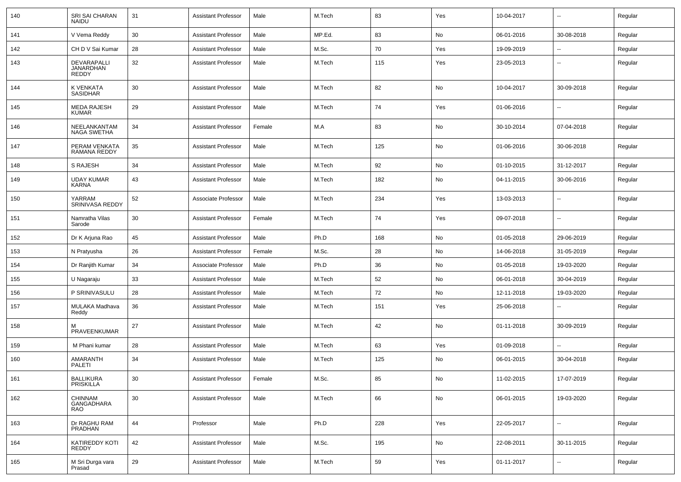| 140 | SRI SAI CHARAN<br><b>NAIDU</b>           | 31     | <b>Assistant Professor</b> | Male   | M.Tech | 83  | Yes | 10-04-2017 | $\overline{\phantom{a}}$ | Regular |
|-----|------------------------------------------|--------|----------------------------|--------|--------|-----|-----|------------|--------------------------|---------|
| 141 | V Vema Reddy                             | 30     | <b>Assistant Professor</b> | Male   | MP.Ed. | 83  | No  | 06-01-2016 | 30-08-2018               | Regular |
| 142 | CH D V Sai Kumar                         | 28     | <b>Assistant Professor</b> | Male   | M.Sc.  | 70  | Yes | 19-09-2019 | $\overline{\phantom{a}}$ | Regular |
| 143 | DEVARAPALLI<br>JANARDHAN<br><b>REDDY</b> | 32     | <b>Assistant Professor</b> | Male   | M.Tech | 115 | Yes | 23-05-2013 | --                       | Regular |
| 144 | K VENKATA<br>SASIDHAR                    | 30     | <b>Assistant Professor</b> | Male   | M.Tech | 82  | No  | 10-04-2017 | 30-09-2018               | Regular |
| 145 | <b>MEDA RAJESH</b><br><b>KUMAR</b>       | 29     | <b>Assistant Professor</b> | Male   | M.Tech | 74  | Yes | 01-06-2016 | -−                       | Regular |
| 146 | NEELANKANTAM<br>NAGA SWETHA              | 34     | <b>Assistant Professor</b> | Female | M.A    | 83  | No  | 30-10-2014 | 07-04-2018               | Regular |
| 147 | PERAM VENKATA<br>RAMANA REDDY            | 35     | <b>Assistant Professor</b> | Male   | M.Tech | 125 | No  | 01-06-2016 | 30-06-2018               | Regular |
| 148 | <b>S RAJESH</b>                          | 34     | <b>Assistant Professor</b> | Male   | M.Tech | 92  | No  | 01-10-2015 | 31-12-2017               | Regular |
| 149 | UDAY KUMAR<br>KARNA                      | 43     | <b>Assistant Professor</b> | Male   | M.Tech | 182 | No  | 04-11-2015 | 30-06-2016               | Regular |
| 150 | YARRAM<br>SRINIVASA REDDY                | 52     | Associate Professor        | Male   | M.Tech | 234 | Yes | 13-03-2013 | ⊷.                       | Regular |
| 151 | Namratha Vilas<br>Sarode                 | 30     | <b>Assistant Professor</b> | Female | M.Tech | 74  | Yes | 09-07-2018 | --                       | Regular |
| 152 | Dr K Arjuna Rao                          | 45     | <b>Assistant Professor</b> | Male   | Ph.D   | 168 | No  | 01-05-2018 | 29-06-2019               | Regular |
| 153 | N Pratyusha                              | 26     | <b>Assistant Professor</b> | Female | M.Sc.  | 28  | No  | 14-06-2018 | 31-05-2019               | Regular |
| 154 | Dr Ranjith Kumar                         | 34     | Associate Professor        | Male   | Ph.D   | 36  | No  | 01-05-2018 | 19-03-2020               | Regular |
| 155 | U Nagaraju                               | 33     | <b>Assistant Professor</b> | Male   | M.Tech | 52  | No  | 06-01-2018 | 30-04-2019               | Regular |
| 156 | P SRINIVASULU                            | 28     | <b>Assistant Professor</b> | Male   | M.Tech | 72  | No  | 12-11-2018 | 19-03-2020               | Regular |
| 157 | MULAKA Madhava<br>Reddy                  | 36     | <b>Assistant Professor</b> | Male   | M.Tech | 151 | Yes | 25-06-2018 | $\overline{\phantom{a}}$ | Regular |
| 158 | PRAVEENKUMAR                             | 27     | <b>Assistant Professor</b> | Male   | M.Tech | 42  | No  | 01-11-2018 | 30-09-2019               | Regular |
| 159 | M Phani kumar                            | 28     | <b>Assistant Professor</b> | Male   | M.Tech | 63  | Yes | 01-09-2018 | --                       | Regular |
| 160 | AMARANTH<br>PALETI                       | 34     | <b>Assistant Professor</b> | Male   | M.Tech | 125 | No  | 06-01-2015 | 30-04-2018               | Regular |
| 161 | BALLIKURA<br>PRISKILLA                   | 30     | <b>Assistant Professor</b> | Female | M.Sc.  | 85  | No  | 11-02-2015 | 17-07-2019               | Regular |
| 162 | CHINNAM<br>GANGADHARA<br><b>RAO</b>      | $30\,$ | <b>Assistant Professor</b> | Male   | M.Tech | 66  | No  | 06-01-2015 | 19-03-2020               | Regular |
| 163 | Dr RAGHU RAM<br>PRADHAN                  | 44     | Professor                  | Male   | Ph.D   | 228 | Yes | 22-05-2017 | $\sim$                   | Regular |
| 164 | KATIREDDY KOTI<br>REDDY                  | 42     | <b>Assistant Professor</b> | Male   | M.Sc.  | 195 | No  | 22-08-2011 | 30-11-2015               | Regular |
| 165 | M Sri Durga vara<br>Prasad               | 29     | <b>Assistant Professor</b> | Male   | M.Tech | 59  | Yes | 01-11-2017 | н.                       | Regular |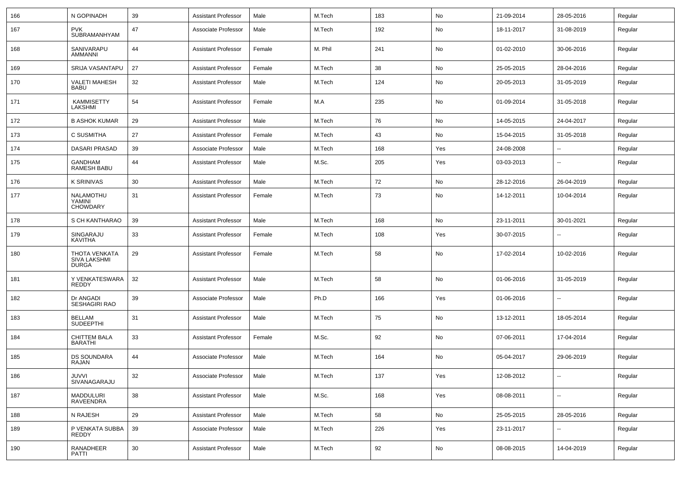| 166 | N GOPINADH                                                  | 39 | <b>Assistant Professor</b> | Male   | M.Tech  | 183 | No  | 21-09-2014 | 28-05-2016               | Regular |
|-----|-------------------------------------------------------------|----|----------------------------|--------|---------|-----|-----|------------|--------------------------|---------|
| 167 | <b>PVK</b><br>SUBRAMANHYAM                                  | 47 | Associate Professor        | Male   | M.Tech  | 192 | No  | 18-11-2017 | 31-08-2019               | Regular |
| 168 | SANIVARAPU<br><b>AMMANNI</b>                                | 44 | <b>Assistant Professor</b> | Female | M. Phil | 241 | No  | 01-02-2010 | 30-06-2016               | Regular |
| 169 | SRIJA VASANTAPU                                             | 27 | <b>Assistant Professor</b> | Female | M.Tech  | 38  | No  | 25-05-2015 | 28-04-2016               | Regular |
| 170 | <b>VALETI MAHESH</b><br><b>BABU</b>                         | 32 | <b>Assistant Professor</b> | Male   | M.Tech  | 124 | No  | 20-05-2013 | 31-05-2019               | Regular |
| 171 | KAMMISETTY<br>LAKSHMI                                       | 54 | <b>Assistant Professor</b> | Female | M.A     | 235 | No  | 01-09-2014 | 31-05-2018               | Regular |
| 172 | <b>B ASHOK KUMAR</b>                                        | 29 | <b>Assistant Professor</b> | Male   | M.Tech  | 76  | No  | 14-05-2015 | 24-04-2017               | Regular |
| 173 | C SUSMITHA                                                  | 27 | <b>Assistant Professor</b> | Female | M.Tech  | 43  | No  | 15-04-2015 | 31-05-2018               | Regular |
| 174 | DASARI PRASAD                                               | 39 | Associate Professor        | Male   | M.Tech  | 168 | Yes | 24-08-2008 |                          | Regular |
| 175 | GANDHAM<br>RAMESH BABU                                      | 44 | <b>Assistant Professor</b> | Male   | M.Sc.   | 205 | Yes | 03-03-2013 | $\overline{\phantom{a}}$ | Regular |
| 176 | <b>K SRINIVAS</b>                                           | 30 | <b>Assistant Professor</b> | Male   | M.Tech  | 72  | No  | 28-12-2016 | 26-04-2019               | Regular |
| 177 | NALAMOTHU<br>YAMINI<br><b>CHOWDARY</b>                      | 31 | <b>Assistant Professor</b> | Female | M.Tech  | 73  | No  | 14-12-2011 | 10-04-2014               | Regular |
| 178 | S CH KANTHARAO                                              | 39 | <b>Assistant Professor</b> | Male   | M.Tech  | 168 | No  | 23-11-2011 | 30-01-2021               | Regular |
| 179 | SINGARAJU<br>KAVITHA                                        | 33 | <b>Assistant Professor</b> | Female | M.Tech  | 108 | Yes | 30-07-2015 | --                       | Regular |
| 180 | <b>THOTA VENKATA</b><br><b>SIVA LAKSHMI</b><br><b>DURGA</b> | 29 | <b>Assistant Professor</b> | Female | M.Tech  | 58  | No  | 17-02-2014 | 10-02-2016               | Regular |
| 181 | Y VENKATESWARA<br><b>REDDY</b>                              | 32 | <b>Assistant Professor</b> | Male   | M.Tech  | 58  | No  | 01-06-2016 | 31-05-2019               | Regular |
| 182 | Dr ANGADI<br>SESHAGIRI RAO                                  | 39 | Associate Professor        | Male   | Ph.D    | 166 | Yes | 01-06-2016 | $\overline{\phantom{a}}$ | Regular |
| 183 | <b>BELLAM</b><br><b>SUDEEPTHI</b>                           | 31 | <b>Assistant Professor</b> | Male   | M.Tech  | 75  | No  | 13-12-2011 | 18-05-2014               | Regular |
| 184 | <b>CHITTEM BALA</b><br><b>BARATHI</b>                       | 33 | <b>Assistant Professor</b> | Female | M.Sc.   | 92  | No  | 07-06-2011 | 17-04-2014               | Regular |
| 185 | <b>DS SOUNDARA</b><br>RAJAN                                 | 44 | Associate Professor        | Male   | M.Tech  | 164 | No  | 05-04-2017 | 29-06-2019               | Regular |
| 186 | JUVVI<br>SIVANAGARAJU                                       | 32 | Associate Professor        | Male   | M.Tech  | 137 | Yes | 12-08-2012 | $\sim$                   | Regular |
| 187 | MADDULURI<br>RAVEENDRA                                      | 38 | <b>Assistant Professor</b> | Male   | M.Sc.   | 168 | Yes | 08-08-2011 | н.                       | Regular |
| 188 | N RAJESH                                                    | 29 | <b>Assistant Professor</b> | Male   | M.Tech  | 58  | No  | 25-05-2015 | 28-05-2016               | Regular |
| 189 | P VENKATA SUBBA<br><b>REDDY</b>                             | 39 | Associate Professor        | Male   | M.Tech  | 226 | Yes | 23-11-2017 | -−                       | Regular |
| 190 | RANADHEER<br>PATTI                                          | 30 | <b>Assistant Professor</b> | Male   | M.Tech  | 92  | No  | 08-08-2015 | 14-04-2019               | Regular |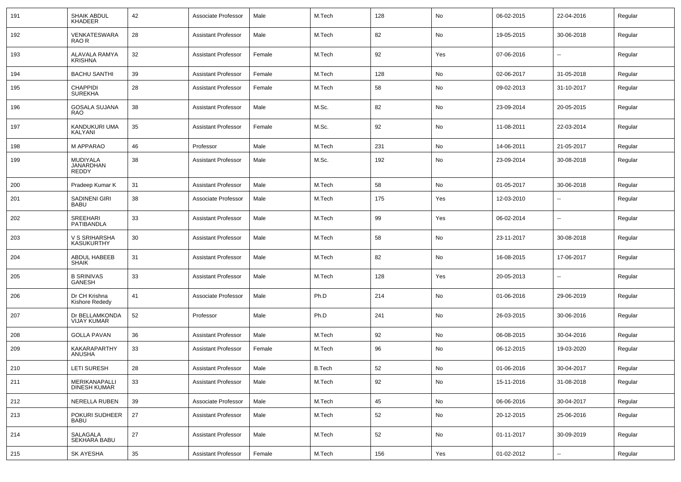| 191 | <b>SHAIK ABDUL</b><br><b>KHADEER</b>        | 42     | Associate Professor        | Male   | M.Tech        | 128 | No            | 06-02-2015 | 22-04-2016               | Regular |
|-----|---------------------------------------------|--------|----------------------------|--------|---------------|-----|---------------|------------|--------------------------|---------|
| 192 | <b>VENKATESWARA</b><br>RAO R                | 28     | Assistant Professor        | Male   | M.Tech        | 82  | No            | 19-05-2015 | 30-06-2018               | Regular |
| 193 | ALAVALA RAMYA<br><b>KRISHNA</b>             | 32     | Assistant Professor        | Female | M.Tech        | 92  | Yes           | 07-06-2016 | $\overline{\phantom{a}}$ | Regular |
| 194 | <b>BACHU SANTHI</b>                         | 39     | <b>Assistant Professor</b> | Female | M.Tech        | 128 | No            | 02-06-2017 | 31-05-2018               | Regular |
| 195 | <b>CHAPPIDI</b><br><b>SUREKHA</b>           | 28     | <b>Assistant Professor</b> | Female | M.Tech        | 58  | No            | 09-02-2013 | 31-10-2017               | Regular |
| 196 | <b>GOSALA SUJANA</b><br>RAO                 | 38     | Assistant Professor        | Male   | M.Sc.         | 82  | No            | 23-09-2014 | 20-05-2015               | Regular |
| 197 | KANDUKURI UMA<br>KALYANI                    | 35     | <b>Assistant Professor</b> | Female | M.Sc.         | 92  | No            | 11-08-2011 | 22-03-2014               | Regular |
| 198 | M APPARAO                                   | 46     | Professor                  | Male   | M.Tech        | 231 | No            | 14-06-2011 | 21-05-2017               | Regular |
| 199 | MUDIYALA<br><b>JANARDHAN</b><br>REDDY       | 38     | <b>Assistant Professor</b> | Male   | M.Sc.         | 192 | No            | 23-09-2014 | 30-08-2018               | Regular |
| 200 | Pradeep Kumar K                             | 31     | <b>Assistant Professor</b> | Male   | M.Tech        | 58  | No            | 01-05-2017 | 30-06-2018               | Regular |
| 201 | SADINENI GIRI<br><b>BABU</b>                | 38     | Associate Professor        | Male   | M.Tech        | 175 | Yes           | 12-03-2010 | $\overline{\phantom{a}}$ | Regular |
| 202 | SREEHARI<br>PATIBANDLA                      | 33     | <b>Assistant Professor</b> | Male   | M.Tech        | 99  | Yes           | 06-02-2014 | $\overline{\phantom{a}}$ | Regular |
| 203 | V S SRIHARSHA<br><b>KASUKURTHY</b>          | 30     | <b>Assistant Professor</b> | Male   | M.Tech        | 58  | No            | 23-11-2017 | 30-08-2018               | Regular |
| 204 | ABDUL HABEEB<br><b>SHAIK</b>                | 31     | <b>Assistant Professor</b> | Male   | M.Tech        | 82  | No            | 16-08-2015 | 17-06-2017               | Regular |
| 205 | <b>B SRINIVAS</b><br>GANESH                 | 33     | <b>Assistant Professor</b> | Male   | M.Tech        | 128 | Yes           | 20-05-2013 | --                       | Regular |
| 206 | Dr CH Krishna<br>Kishore Rededy             | 41     | Associate Professor        | Male   | Ph.D          | 214 | No            | 01-06-2016 | 29-06-2019               | Regular |
| 207 | Dr BELLAMKONDA<br><b>VIJAY KUMAR</b>        | 52     | Professor                  | Male   | Ph.D          | 241 | No            | 26-03-2015 | 30-06-2016               | Regular |
| 208 | <b>GOLLA PAVAN</b>                          | 36     | <b>Assistant Professor</b> | Male   | M.Tech        | 92  | No            | 06-08-2015 | 30-04-2016               | Regular |
| 209 | <b>KAKARAPARTHY</b><br>ANUSHA               | 33     | <b>Assistant Professor</b> | Female | M.Tech        | 96  | No            | 06-12-2015 | 19-03-2020               | Regular |
| 210 | <b>LETI SURESH</b>                          | 28     | <b>Assistant Professor</b> | Male   | <b>B.Tech</b> | 52  | No            | 01-06-2016 | 30-04-2017               | Regular |
| 211 | <b>MERIKANAPALLI</b><br><b>DINESH KUMAR</b> | 33     | <b>Assistant Professor</b> | Male   | M.Tech        | 92  | $\mathsf{No}$ | 15-11-2016 | 31-08-2018               | Regular |
| 212 | NERELLA RUBEN                               | 39     | Associate Professor        | Male   | M.Tech        | 45  | No            | 06-06-2016 | 30-04-2017               | Regular |
| 213 | POKURI SUDHEER<br><b>BABU</b>               | 27     | <b>Assistant Professor</b> | Male   | M.Tech        | 52  | No            | 20-12-2015 | 25-06-2016               | Regular |
| 214 | SALAGALA<br>SEKHARA BABU                    | 27     | <b>Assistant Professor</b> | Male   | M.Tech        | 52  | No            | 01-11-2017 | 30-09-2019               | Regular |
| 215 | SK AYESHA                                   | $35\,$ | <b>Assistant Professor</b> | Female | M.Tech        | 156 | Yes           | 01-02-2012 | $\sim$                   | Regular |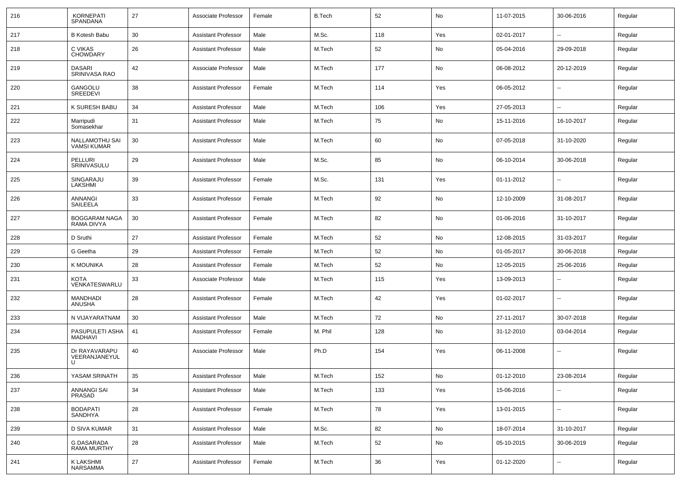| 216 | <b>KORNEPATI</b><br><b>SPANDANA</b>  | 27 | Associate Professor        | Female | <b>B.Tech</b> | 52  | No            | 11-07-2015 | 30-06-2016     | Regular |
|-----|--------------------------------------|----|----------------------------|--------|---------------|-----|---------------|------------|----------------|---------|
| 217 | <b>B Kotesh Babu</b>                 | 30 | <b>Assistant Professor</b> | Male   | M.Sc.         | 118 | Yes           | 02-01-2017 | $-$            | Regular |
| 218 | C VIKAS<br><b>CHOWDARY</b>           | 26 | <b>Assistant Professor</b> | Male   | M.Tech        | 52  | No            | 05-04-2016 | 29-09-2018     | Regular |
| 219 | <b>DASARI</b><br>SRINIVASA RAO       | 42 | Associate Professor        | Male   | M.Tech        | 177 | No            | 06-08-2012 | 20-12-2019     | Regular |
| 220 | GANGOLU<br>SREEDEVI                  | 38 | <b>Assistant Professor</b> | Female | M.Tech        | 114 | Yes           | 06-05-2012 | --             | Regular |
| 221 | K SURESH BABU                        | 34 | <b>Assistant Professor</b> | Male   | M.Tech        | 106 | Yes           | 27-05-2013 | --             | Regular |
| 222 | Marripudi<br>Somasekhar              | 31 | <b>Assistant Professor</b> | Male   | M.Tech        | 75  | No            | 15-11-2016 | 16-10-2017     | Regular |
| 223 | NALLAMOTHU SAI<br><b>VAMSI KUMAR</b> | 30 | <b>Assistant Professor</b> | Male   | M.Tech        | 60  | No            | 07-05-2018 | 31-10-2020     | Regular |
| 224 | <b>PELLURI</b><br>SRINIVASULU        | 29 | <b>Assistant Professor</b> | Male   | M.Sc.         | 85  | No            | 06-10-2014 | 30-06-2018     | Regular |
| 225 | SINGARAJU<br>LAKSHMI                 | 39 | <b>Assistant Professor</b> | Female | M.Sc.         | 131 | Yes           | 01-11-2012 | --             | Regular |
| 226 | <b>ANNANGI</b><br>SAILEELA           | 33 | <b>Assistant Professor</b> | Female | M.Tech        | 92  | No            | 12-10-2009 | 31-08-2017     | Regular |
| 227 | <b>BOGGARAM NAGA</b><br>RAMA DIVYA   | 30 | <b>Assistant Professor</b> | Female | M.Tech        | 82  | No            | 01-06-2016 | 31-10-2017     | Regular |
| 228 | D Sruthi                             | 27 | <b>Assistant Professor</b> | Female | M.Tech        | 52  | No            | 12-08-2015 | 31-03-2017     | Regular |
| 229 | G Geetha                             | 29 | <b>Assistant Professor</b> | Female | M.Tech        | 52  | No            | 01-05-2017 | 30-06-2018     | Regular |
| 230 | K MOUNIKA                            | 28 | <b>Assistant Professor</b> | Female | M.Tech        | 52  | No            | 12-05-2015 | 25-06-2016     | Regular |
| 231 | KOTA<br>VENKATESWARLU                | 33 | Associate Professor        | Male   | M.Tech        | 115 | Yes           | 13-09-2013 |                | Regular |
| 232 | <b>MANDHADI</b><br>ANUSHA            | 28 | <b>Assistant Professor</b> | Female | M.Tech        | 42  | Yes           | 01-02-2017 | $\overline{a}$ | Regular |
| 233 | N VIJAYARATNAM                       | 30 | <b>Assistant Professor</b> | Male   | M.Tech        | 72  | No            | 27-11-2017 | 30-07-2018     | Regular |
| 234 | PASUPULETI ASHA<br><b>MADHAVI</b>    | 41 | <b>Assistant Professor</b> | Female | M. Phil       | 128 | No            | 31-12-2010 | 03-04-2014     | Regular |
| 235 | Dr RAYAVARAPU<br>VEERANJANEYUL<br>Ħ  | 40 | Associate Professor        | Male   | Ph.D          | 154 | Yes           | 06-11-2008 | ⊷.             | Regular |
| 236 | YASAM SRINATH                        | 35 | Assistant Professor        | Male   | M.Tech        | 152 | $\mathsf{No}$ | 01-12-2010 | 23-08-2014     | Regular |
| 237 | <b>ANNANGI SAI</b><br>PRASAD         | 34 | <b>Assistant Professor</b> | Male   | M.Tech        | 133 | Yes           | 15-06-2016 | $\sim$         | Regular |
| 238 | <b>BODAPATI</b><br>SANDHYA           | 28 | <b>Assistant Professor</b> | Female | M.Tech        | 78  | Yes           | 13-01-2015 | $\sim$         | Regular |
| 239 | D SIVA KUMAR                         | 31 | <b>Assistant Professor</b> | Male   | M.Sc.         | 82  | No            | 18-07-2014 | 31-10-2017     | Regular |
| 240 | G DASARADA<br>RAMA MURTHY            | 28 | <b>Assistant Professor</b> | Male   | M.Tech        | 52  | No            | 05-10-2015 | 30-06-2019     | Regular |
| 241 | K LAKSHMI<br>NARSAMMA                | 27 | <b>Assistant Professor</b> | Female | M.Tech        | 36  | Yes           | 01-12-2020 | --             | Regular |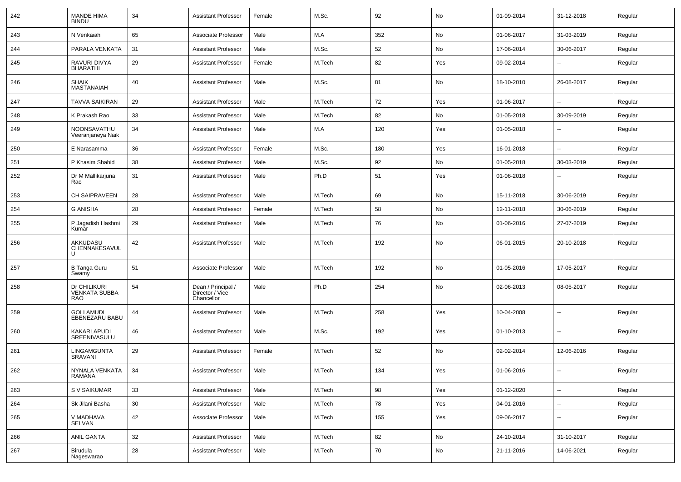| 242 | <b>MANDE HIMA</b><br><b>BINDU</b>           | 34 | <b>Assistant Professor</b>                          | Female | M.Sc.  | 92  | No  | 01-09-2014 | 31-12-2018               | Regular |
|-----|---------------------------------------------|----|-----------------------------------------------------|--------|--------|-----|-----|------------|--------------------------|---------|
| 243 | N Venkaiah                                  | 65 | Associate Professor                                 | Male   | M.A    | 352 | No  | 01-06-2017 | 31-03-2019               | Regular |
| 244 | PARALA VENKATA                              | 31 | <b>Assistant Professor</b>                          | Male   | M.Sc.  | 52  | No  | 17-06-2014 | 30-06-2017               | Regular |
| 245 | RAVURI DIVYA<br><b>BHARATHI</b>             | 29 | <b>Assistant Professor</b>                          | Female | M.Tech | 82  | Yes | 09-02-2014 | --                       | Regular |
| 246 | <b>SHAIK</b><br>MASTANAIAH                  | 40 | <b>Assistant Professor</b>                          | Male   | M.Sc.  | 81  | No  | 18-10-2010 | 26-08-2017               | Regular |
| 247 | <b>TAVVA SAIKIRAN</b>                       | 29 | <b>Assistant Professor</b>                          | Male   | M.Tech | 72  | Yes | 01-06-2017 | Ш,                       | Regular |
| 248 | K Prakash Rao                               | 33 | <b>Assistant Professor</b>                          | Male   | M.Tech | 82  | No  | 01-05-2018 | 30-09-2019               | Regular |
| 249 | NOONSAVATHU<br>Veeranjaneya Naik            | 34 | <b>Assistant Professor</b>                          | Male   | M.A    | 120 | Yes | 01-05-2018 |                          | Regular |
| 250 | E Narasamma                                 | 36 | <b>Assistant Professor</b>                          | Female | M.Sc.  | 180 | Yes | 16-01-2018 |                          | Regular |
| 251 | P Khasim Shahid                             | 38 | <b>Assistant Professor</b>                          | Male   | M.Sc.  | 92  | No  | 01-05-2018 | 30-03-2019               | Regular |
| 252 | Dr M Mallikarjuna<br>Rao                    | 31 | <b>Assistant Professor</b>                          | Male   | Ph.D   | 51  | Yes | 01-06-2018 | --                       | Regular |
| 253 | <b>CH SAIPRAVEEN</b>                        | 28 | <b>Assistant Professor</b>                          | Male   | M.Tech | 69  | No  | 15-11-2018 | 30-06-2019               | Regular |
| 254 | <b>G ANISHA</b>                             | 28 | <b>Assistant Professor</b>                          | Female | M.Tech | 58  | No  | 12-11-2018 | 30-06-2019               | Regular |
| 255 | P Jagadish Hashmi<br>Kumar                  | 29 | <b>Assistant Professor</b>                          | Male   | M.Tech | 76  | No  | 01-06-2016 | 27-07-2019               | Regular |
| 256 | AKKUDASU<br>CHENNAKESAVUL<br>U              | 42 | <b>Assistant Professor</b>                          | Male   | M.Tech | 192 | No  | 06-01-2015 | 20-10-2018               | Regular |
| 257 | <b>B Tanga Guru</b><br>Swamy                | 51 | Associate Professor                                 | Male   | M.Tech | 192 | No  | 01-05-2016 | 17-05-2017               | Regular |
| 258 | Dr CHILIKURI<br><b>VENKATA SUBBA</b><br>RAO | 54 | Dean / Principal /<br>Director / Vice<br>Chancellor | Male   | Ph.D   | 254 | No  | 02-06-2013 | 08-05-2017               | Regular |
| 259 | <b>GOLLAMUDI</b><br><b>EBENEZARU BABU</b>   | 44 | <b>Assistant Professor</b>                          | Male   | M.Tech | 258 | Yes | 10-04-2008 | --                       | Regular |
| 260 | KAKARLAPUDI<br>SREENIVASULU                 | 46 | <b>Assistant Professor</b>                          | Male   | M.Sc.  | 192 | Yes | 01-10-2013 | $\overline{\phantom{a}}$ | Regular |
| 261 | LINGAMGUNTA<br>SRAVANI                      | 29 | <b>Assistant Professor</b>                          | Female | M.Tech | 52  | No  | 02-02-2014 | 12-06-2016               | Regular |
| 262 | NYNALA VENKATA<br>RAMANA                    | 34 | Assistant Professor                                 | Male   | M.Tech | 134 | Yes | 01-06-2016 | --                       | Regular |
| 263 | S V SAIKUMAR                                | 33 | <b>Assistant Professor</b>                          | Male   | M.Tech | 98  | Yes | 01-12-2020 | $\overline{\phantom{a}}$ | Regular |
| 264 | Sk Jilani Basha                             | 30 | <b>Assistant Professor</b>                          | Male   | M.Tech | 78  | Yes | 04-01-2016 | $\sim$                   | Regular |
| 265 | V MADHAVA<br>SELVAN                         | 42 | Associate Professor                                 | Male   | M.Tech | 155 | Yes | 09-06-2017 | $\sim$                   | Regular |
| 266 | ANIL GANTA                                  | 32 | <b>Assistant Professor</b>                          | Male   | M.Tech | 82  | No  | 24-10-2014 | 31-10-2017               | Regular |
| 267 | Birudula<br>Nageswarao                      | 28 | <b>Assistant Professor</b>                          | Male   | M.Tech | 70  | No  | 21-11-2016 | 14-06-2021               | Regular |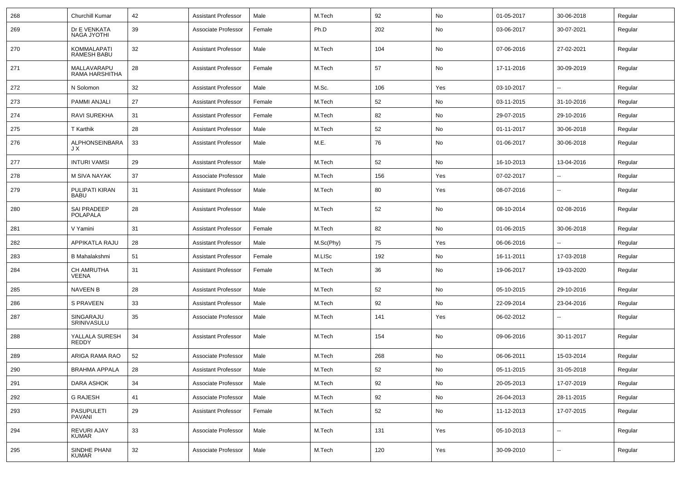| 268 | Churchill Kumar                    | 42 | <b>Assistant Professor</b> | Male   | M.Tech    | 92  | No  | 01-05-2017 | 30-06-2018               | Regular |
|-----|------------------------------------|----|----------------------------|--------|-----------|-----|-----|------------|--------------------------|---------|
| 269 | Dr E VENKATA<br>NAGA JYOTHI        | 39 | Associate Professor        | Female | Ph.D      | 202 | No  | 03-06-2017 | 30-07-2021               | Regular |
| 270 | KOMMALAPATI<br><b>RAMESH BABU</b>  | 32 | <b>Assistant Professor</b> | Male   | M.Tech    | 104 | No  | 07-06-2016 | 27-02-2021               | Regular |
| 271 | MALLAVARAPU<br>RAMA HARSHITHA      | 28 | <b>Assistant Professor</b> | Female | M.Tech    | 57  | No  | 17-11-2016 | 30-09-2019               | Regular |
| 272 | N Solomon                          | 32 | <b>Assistant Professor</b> | Male   | M.Sc.     | 106 | Yes | 03-10-2017 | $\mathbf{u}$             | Regular |
| 273 | PAMMI ANJALI                       | 27 | <b>Assistant Professor</b> | Female | M.Tech    | 52  | No  | 03-11-2015 | 31-10-2016               | Regular |
| 274 | RAVI SUREKHA                       | 31 | <b>Assistant Professor</b> | Female | M.Tech    | 82  | No  | 29-07-2015 | 29-10-2016               | Regular |
| 275 | T Karthik                          | 28 | <b>Assistant Professor</b> | Male   | M.Tech    | 52  | No  | 01-11-2017 | 30-06-2018               | Regular |
| 276 | ALPHONSEINBARA<br>JΧ               | 33 | <b>Assistant Professor</b> | Male   | M.E.      | 76  | No  | 01-06-2017 | 30-06-2018               | Regular |
| 277 | <b>INTURI VAMSI</b>                | 29 | <b>Assistant Professor</b> | Male   | M.Tech    | 52  | No  | 16-10-2013 | 13-04-2016               | Regular |
| 278 | M SIVA NAYAK                       | 37 | Associate Professor        | Male   | M.Tech    | 156 | Yes | 07-02-2017 | ⊷.                       | Regular |
| 279 | PULIPATI KIRAN<br><b>BABU</b>      | 31 | <b>Assistant Professor</b> | Male   | M.Tech    | 80  | Yes | 08-07-2016 | $\overline{\phantom{a}}$ | Regular |
| 280 | SAI PRADEEP<br><b>POLAPALA</b>     | 28 | <b>Assistant Professor</b> | Male   | M.Tech    | 52  | No  | 08-10-2014 | 02-08-2016               | Regular |
| 281 | V Yamini                           | 31 | Assistant Professor        | Female | M.Tech    | 82  | No  | 01-06-2015 | 30-06-2018               | Regular |
| 282 | <b>APPIKATLA RAJU</b>              | 28 | <b>Assistant Professor</b> | Male   | M.Sc(Phy) | 75  | Yes | 06-06-2016 |                          | Regular |
| 283 | <b>B</b> Mahalakshmi               | 51 | <b>Assistant Professor</b> | Female | M.LISc    | 192 | No  | 16-11-2011 | 17-03-2018               | Regular |
| 284 | CH AMRUTHA<br>VEENA                | 31 | <b>Assistant Professor</b> | Female | M.Tech    | 36  | No  | 19-06-2017 | 19-03-2020               | Regular |
| 285 | <b>NAVEEN B</b>                    | 28 | <b>Assistant Professor</b> | Male   | M.Tech    | 52  | No  | 05-10-2015 | 29-10-2016               | Regular |
| 286 | <b>S PRAVEEN</b>                   | 33 | <b>Assistant Professor</b> | Male   | M.Tech    | 92  | No  | 22-09-2014 | 23-04-2016               | Regular |
| 287 | SINGARAJU<br>SRINIVASULU           | 35 | Associate Professor        | Male   | M.Tech    | 141 | Yes | 06-02-2012 | ⊷                        | Regular |
| 288 | YALLALA SURESH<br><b>REDDY</b>     | 34 | <b>Assistant Professor</b> | Male   | M.Tech    | 154 | No  | 09-06-2016 | 30-11-2017               | Regular |
| 289 | ARIGA RAMA RAO                     | 52 | Associate Professor        | Male   | M.Tech    | 268 | No  | 06-06-2011 | 15-03-2014               | Regular |
| 290 | <b>BRAHMA APPALA</b>               | 28 | <b>Assistant Professor</b> | Male   | M.Tech    | 52  | No  | 05-11-2015 | 31-05-2018               | Regular |
| 291 | <b>DARA ASHOK</b>                  | 34 | Associate Professor        | Male   | M.Tech    | 92  | No  | 20-05-2013 | 17-07-2019               | Regular |
| 292 | <b>G RAJESH</b>                    | 41 | Associate Professor        | Male   | M.Tech    | 92  | No  | 26-04-2013 | 28-11-2015               | Regular |
| 293 | <b>PASUPULETI</b><br><b>PAVANI</b> | 29 | <b>Assistant Professor</b> | Female | M.Tech    | 52  | No  | 11-12-2013 | 17-07-2015               | Regular |
| 294 | REVURI AJAY<br><b>KUMAR</b>        | 33 | Associate Professor        | Male   | M.Tech    | 131 | Yes | 05-10-2013 | ш.                       | Regular |
| 295 | SINDHE PHANI<br><b>KUMAR</b>       | 32 | Associate Professor        | Male   | M.Tech    | 120 | Yes | 30-09-2010 | $\overline{\phantom{a}}$ | Regular |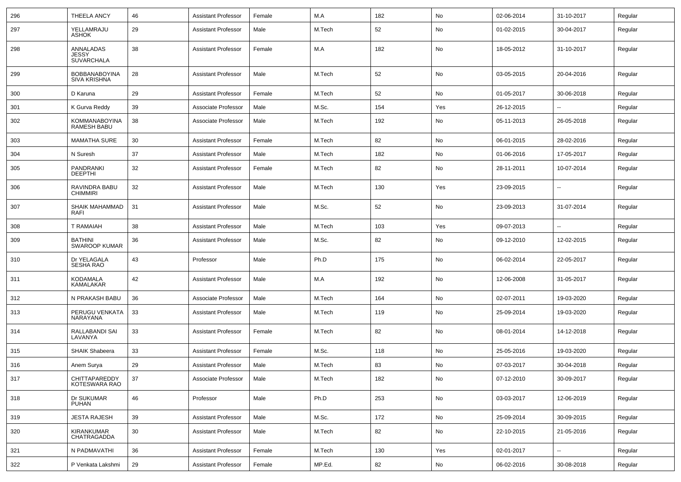| 296 | <b>THEELA ANCY</b>                          | 46 | Assistant Professor        | Female | M.A    | 182 | No  | 02-06-2014 | 31-10-2017               | Regular |
|-----|---------------------------------------------|----|----------------------------|--------|--------|-----|-----|------------|--------------------------|---------|
| 297 | YELLAMRAJU<br><b>ASHOK</b>                  | 29 | <b>Assistant Professor</b> | Male   | M.Tech | 52  | No  | 01-02-2015 | 30-04-2017               | Regular |
| 298 | ANNALADAS<br>JESSY<br><b>SUVARCHALA</b>     | 38 | <b>Assistant Professor</b> | Female | M.A    | 182 | No  | 18-05-2012 | 31-10-2017               | Regular |
| 299 | <b>BOBBANABOYINA</b><br><b>SIVA KRISHNA</b> | 28 | <b>Assistant Professor</b> | Male   | M.Tech | 52  | No  | 03-05-2015 | 20-04-2016               | Regular |
| 300 | D Karuna                                    | 29 | <b>Assistant Professor</b> | Female | M.Tech | 52  | No  | 01-05-2017 | 30-06-2018               | Regular |
| 301 | K Gurva Reddy                               | 39 | Associate Professor        | Male   | M.Sc.  | 154 | Yes | 26-12-2015 | $\overline{a}$           | Regular |
| 302 | <b>KOMMANABOYINA</b><br><b>RAMESH BABU</b>  | 38 | Associate Professor        | Male   | M.Tech | 192 | No  | 05-11-2013 | 26-05-2018               | Regular |
| 303 | <b>MAMATHA SURE</b>                         | 30 | <b>Assistant Professor</b> | Female | M.Tech | 82  | No  | 06-01-2015 | 28-02-2016               | Regular |
| 304 | N Suresh                                    | 37 | <b>Assistant Professor</b> | Male   | M.Tech | 182 | No  | 01-06-2016 | 17-05-2017               | Regular |
| 305 | PANDRANKI<br><b>DEEPTHI</b>                 | 32 | <b>Assistant Professor</b> | Female | M.Tech | 82  | No  | 28-11-2011 | 10-07-2014               | Regular |
| 306 | RAVINDRA BABU<br><b>CHIMMIRI</b>            | 32 | <b>Assistant Professor</b> | Male   | M.Tech | 130 | Yes | 23-09-2015 | $\overline{a}$           | Regular |
| 307 | SHAIK MAHAMMAD<br>RAFI                      | 31 | <b>Assistant Professor</b> | Male   | M.Sc.  | 52  | No  | 23-09-2013 | 31-07-2014               | Regular |
| 308 | <b>T RAMAIAH</b>                            | 38 | <b>Assistant Professor</b> | Male   | M.Tech | 103 | Yes | 09-07-2013 |                          | Regular |
| 309 | <b>BATHINI</b><br><b>SWAROOP KUMAR</b>      | 36 | <b>Assistant Professor</b> | Male   | M.Sc.  | 82  | No  | 09-12-2010 | 12-02-2015               | Regular |
| 310 | Dr YELAGALA<br><b>SESHA RAO</b>             | 43 | Professor                  | Male   | Ph.D   | 175 | No  | 06-02-2014 | 22-05-2017               | Regular |
| 311 | KODAMALA<br>KAMALAKAR                       | 42 | <b>Assistant Professor</b> | Male   | M.A    | 192 | No  | 12-06-2008 | 31-05-2017               | Regular |
| 312 | N PRAKASH BABU                              | 36 | Associate Professor        | Male   | M.Tech | 164 | No  | 02-07-2011 | 19-03-2020               | Regular |
| 313 | PERUGU VENKATA<br>NARAYANA                  | 33 | <b>Assistant Professor</b> | Male   | M.Tech | 119 | No  | 25-09-2014 | 19-03-2020               | Regular |
| 314 | RALLABANDI SAI<br>LAVANYA                   | 33 | <b>Assistant Professor</b> | Female | M.Tech | 82  | No  | 08-01-2014 | 14-12-2018               | Regular |
| 315 | SHAIK Shabeera                              | 33 | <b>Assistant Professor</b> | Female | M.Sc.  | 118 | No  | 25-05-2016 | 19-03-2020               | Regular |
| 316 | Anem Surya                                  | 29 | <b>Assistant Professor</b> | Male   | M.Tech | 83  | No  | 07-03-2017 | 30-04-2018               | Regular |
| 317 | CHITTAPAREDDY<br>KOTESWARA RAO              | 37 | Associate Professor        | Male   | M.Tech | 182 | No  | 07-12-2010 | 30-09-2017               | Regular |
| 318 | Dr SUKUMAR<br><b>PUHAN</b>                  | 46 | Professor                  | Male   | Ph.D   | 253 | No  | 03-03-2017 | 12-06-2019               | Regular |
| 319 | <b>JESTA RAJESH</b>                         | 39 | <b>Assistant Professor</b> | Male   | M.Sc.  | 172 | No  | 25-09-2014 | 30-09-2015               | Regular |
| 320 | KIRANKUMAR<br>CHATRAGADDA                   | 30 | <b>Assistant Professor</b> | Male   | M.Tech | 82  | No  | 22-10-2015 | 21-05-2016               | Regular |
| 321 | N PADMAVATHI                                | 36 | <b>Assistant Professor</b> | Female | M.Tech | 130 | Yes | 02-01-2017 | $\overline{\phantom{a}}$ | Regular |
| 322 | P Venkata Lakshmi                           | 29 | <b>Assistant Professor</b> | Female | MP.Ed. | 82  | No  | 06-02-2016 | 30-08-2018               | Regular |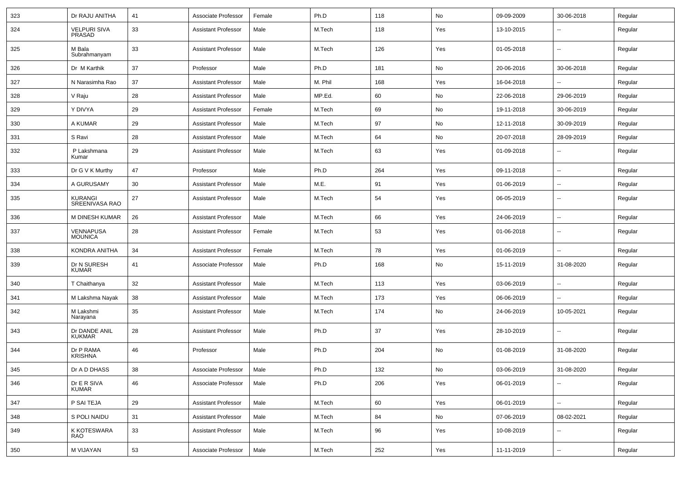| 323 | Dr RAJU ANITHA                     | 41 | Associate Professor        | Female | Ph.D    | 118 | No        | 09-09-2009 | 30-06-2018               | Regular |
|-----|------------------------------------|----|----------------------------|--------|---------|-----|-----------|------------|--------------------------|---------|
| 324 | <b>VELPURI SIVA</b><br>PRASAD      | 33 | <b>Assistant Professor</b> | Male   | M.Tech  | 118 | Yes       | 13-10-2015 | --                       | Regular |
| 325 | M Bala<br>Subrahmanyam             | 33 | <b>Assistant Professor</b> | Male   | M.Tech  | 126 | Yes       | 01-05-2018 | ۰.                       | Regular |
| 326 | Dr M Karthik                       | 37 | Professor                  | Male   | Ph.D    | 181 | No        | 20-06-2016 | 30-06-2018               | Regular |
| 327 | N Narasimha Rao                    | 37 | <b>Assistant Professor</b> | Male   | M. Phil | 168 | Yes       | 16-04-2018 | ۰.                       | Regular |
| 328 | V Raju                             | 28 | <b>Assistant Professor</b> | Male   | MP.Ed.  | 60  | No        | 22-06-2018 | 29-06-2019               | Regular |
| 329 | Y DIVYA                            | 29 | <b>Assistant Professor</b> | Female | M.Tech  | 69  | No        | 19-11-2018 | 30-06-2019               | Regular |
| 330 | A KUMAR                            | 29 | <b>Assistant Professor</b> | Male   | M.Tech  | 97  | No        | 12-11-2018 | 30-09-2019               | Regular |
| 331 | S Ravi                             | 28 | <b>Assistant Professor</b> | Male   | M.Tech  | 64  | No        | 20-07-2018 | 28-09-2019               | Regular |
| 332 | P Lakshmana<br>Kumar               | 29 | <b>Assistant Professor</b> | Male   | M.Tech  | 63  | Yes       | 01-09-2018 | ۰.                       | Regular |
| 333 | Dr G V K Murthy                    | 47 | Professor                  | Male   | Ph.D    | 264 | Yes       | 09-11-2018 | $\overline{\phantom{a}}$ | Regular |
| 334 | A GURUSAMY                         | 30 | <b>Assistant Professor</b> | Male   | M.E.    | 91  | Yes       | 01-06-2019 | ۰.                       | Regular |
| 335 | <b>KURANGI</b><br>SREENIVASA RAO   | 27 | <b>Assistant Professor</b> | Male   | M.Tech  | 54  | Yes       | 06-05-2019 | ۰.                       | Regular |
| 336 | <b>M DINESH KUMAR</b>              | 26 | <b>Assistant Professor</b> | Male   | M.Tech  | 66  | Yes       | 24-06-2019 | u.                       | Regular |
| 337 | <b>VENNAPUSA</b><br><b>MOUNICA</b> | 28 | <b>Assistant Professor</b> | Female | M.Tech  | 53  | Yes       | 01-06-2018 | $\overline{\phantom{a}}$ | Regular |
| 338 | KONDRA ANITHA                      | 34 | <b>Assistant Professor</b> | Female | M.Tech  | 78  | Yes       | 01-06-2019 | $\overline{\phantom{a}}$ | Regular |
| 339 | Dr N SURESH<br><b>KUMAR</b>        | 41 | Associate Professor        | Male   | Ph.D    | 168 | No        | 15-11-2019 | 31-08-2020               | Regular |
| 340 | T Chaithanya                       | 32 | <b>Assistant Professor</b> | Male   | M.Tech  | 113 | Yes       | 03-06-2019 | $\overline{\phantom{a}}$ | Regular |
| 341 | M Lakshma Nayak                    | 38 | <b>Assistant Professor</b> | Male   | M.Tech  | 173 | Yes       | 06-06-2019 |                          | Regular |
| 342 | M Lakshmi<br>Narayana              | 35 | <b>Assistant Professor</b> | Male   | M.Tech  | 174 | No        | 24-06-2019 | 10-05-2021               | Regular |
| 343 | Dr DANDE ANIL<br><b>KUKMAR</b>     | 28 | <b>Assistant Professor</b> | Male   | Ph.D    | 37  | Yes       | 28-10-2019 | ۰.                       | Regular |
| 344 | Dr P RAMA<br><b>KRISHNA</b>        | 46 | Professor                  | Male   | Ph.D    | 204 | No        | 01-08-2019 | 31-08-2020               | Regular |
| 345 | Dr A D DHASS                       | 38 | Associate Professor        | Male   | Ph.D    | 132 | <b>No</b> | 03-06-2019 | 31-08-2020               | Regular |
| 346 | Dr E R SIVA<br>KUMAR               | 46 | Associate Professor        | Male   | Ph.D    | 206 | Yes       | 06-01-2019 | --                       | Regular |
| 347 | P SAI TEJA                         | 29 | <b>Assistant Professor</b> | Male   | M.Tech  | 60  | Yes       | 06-01-2019 | u.                       | Regular |
| 348 | S POLI NAIDU                       | 31 | <b>Assistant Professor</b> | Male   | M.Tech  | 84  | No        | 07-06-2019 | 08-02-2021               | Regular |
| 349 | K KOTESWARA<br>RAO                 | 33 | <b>Assistant Professor</b> | Male   | M.Tech  | 96  | Yes       | 10-08-2019 | u.                       | Regular |
| 350 | M VIJAYAN                          | 53 | Associate Professor        | Male   | M.Tech  | 252 | Yes       | 11-11-2019 | Ξ.                       | Regular |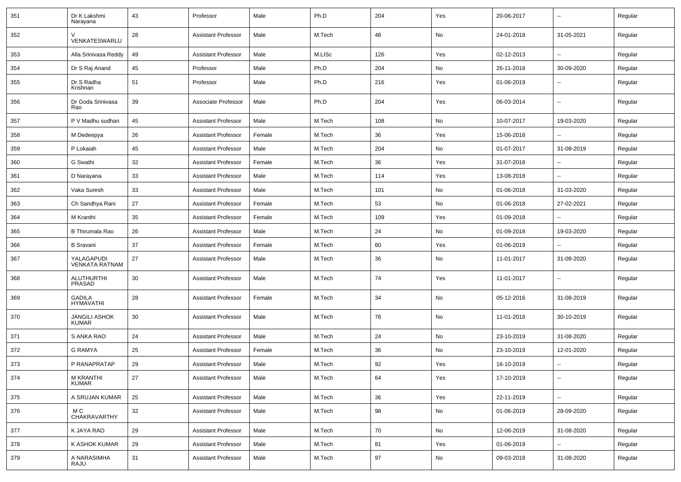| 351 | Dr K Lakshmi<br>Narayana             | 43 | Professor                  | Male   | Ph.D   | 204 | Yes | 20-06-2017 | $\overline{\phantom{a}}$ | Regular |
|-----|--------------------------------------|----|----------------------------|--------|--------|-----|-----|------------|--------------------------|---------|
| 352 | VENKATESWARLU                        | 28 | <b>Assistant Professor</b> | Male   | M.Tech | 48  | No  | 24-01-2018 | 31-05-2021               | Regular |
| 353 | Alla Srinivasa Reddy                 | 49 | <b>Assistant Professor</b> | Male   | M.LISc | 126 | Yes | 02-12-2013 | $\overline{\phantom{a}}$ | Regular |
| 354 | Dr S Raj Anand                       | 45 | Professor                  | Male   | Ph.D   | 204 | No  | 26-11-2018 | 30-09-2020               | Regular |
| 355 | Dr S Radha<br>Krishnan               | 51 | Professor                  | Male   | Ph.D   | 216 | Yes | 01-06-2019 | --                       | Regular |
| 356 | Dr Goda Srinivasa<br>Rao             | 39 | Associate Professor        | Male   | Ph.D   | 204 | Yes | 06-03-2014 | $\overline{\phantom{a}}$ | Regular |
| 357 | P V Madhu sudhan                     | 45 | <b>Assistant Professor</b> | Male   | M.Tech | 108 | No  | 10-07-2017 | 19-03-2020               | Regular |
| 358 | M Dedeepya                           | 26 | <b>Assistant Professor</b> | Female | M.Tech | 36  | Yes | 15-06-2018 | --                       | Regular |
| 359 | P Lokaiah                            | 45 | <b>Assistant Professor</b> | Male   | M.Tech | 204 | No  | 01-07-2017 | 31-08-2019               | Regular |
| 360 | G Swathi                             | 32 | <b>Assistant Professor</b> | Female | M.Tech | 36  | Yes | 31-07-2018 |                          | Regular |
| 361 | D Narayana                           | 33 | <b>Assistant Professor</b> | Male   | M.Tech | 114 | Yes | 13-08-2018 | $\overline{\phantom{a}}$ | Regular |
| 362 | Vaka Suresh                          | 33 | <b>Assistant Professor</b> | Male   | M.Tech | 101 | No  | 01-06-2018 | 31-03-2020               | Regular |
| 363 | Ch Sandhya Rani                      | 27 | <b>Assistant Professor</b> | Female | M.Tech | 53  | No  | 01-06-2018 | 27-02-2021               | Regular |
| 364 | M Kranthi                            | 35 | <b>Assistant Professor</b> | Female | M.Tech | 109 | Yes | 01-09-2018 |                          | Regular |
| 365 | <b>B Thirumala Rao</b>               | 26 | <b>Assistant Professor</b> | Male   | M.Tech | 24  | No  | 01-09-2018 | 19-03-2020               | Regular |
| 366 | <b>B</b> Sravani                     | 37 | <b>Assistant Professor</b> | Female | M.Tech | 60  | Yes | 01-06-2019 |                          | Regular |
| 367 | YALAGAPUDI<br><b>VENKATA RATNAM</b>  | 27 | <b>Assistant Professor</b> | Male   | M.Tech | 36  | No  | 11-01-2017 | 31-08-2020               | Regular |
| 368 | <b>ALUTHURTHI</b><br>PRASAD          | 30 | <b>Assistant Professor</b> | Male   | M.Tech | 74  | Yes | 11-01-2017 | $\overline{\phantom{a}}$ | Regular |
| 369 | <b>GADILA</b><br>HYMAVATHI           | 28 | <b>Assistant Professor</b> | Female | M.Tech | 34  | No  | 05-12-2016 | 31-08-2019               | Regular |
| 370 | <b>JANGILI ASHOK</b><br><b>KUMAR</b> | 30 | <b>Assistant Professor</b> | Male   | M.Tech | 76  | No  | 11-01-2018 | 30-10-2019               | Regular |
| 371 | S ANKA RAO                           | 24 | <b>Assistant Professor</b> | Male   | M.Tech | 24  | No  | 23-10-2019 | 31-08-2020               | Regular |
| 372 | <b>G RAMYA</b>                       | 25 | <b>Assistant Professor</b> | Female | M.Tech | 36  | No  | 23-10-2019 | 12-01-2020               | Regular |
| 373 | P RANAPRATAP                         | 29 | <b>Assistant Professor</b> | Male   | M.Tech | 92  | Yes | 16-10-2019 |                          | Regular |
| 374 | M KRANTHI<br><b>KUMAR</b>            | 27 | <b>Assistant Professor</b> | Male   | M.Tech | 64  | Yes | 17-10-2019 | $\overline{\phantom{a}}$ | Regular |
| 375 | A SRUJAN KUMAR                       | 25 | <b>Assistant Professor</b> | Male   | M.Tech | 36  | Yes | 22-11-2019 | ц.                       | Regular |
| 376 | M C<br>CHAKRAVARTHY                  | 32 | <b>Assistant Professor</b> | Male   | M.Tech | 98  | No  | 01-06-2019 | 28-09-2020               | Regular |
| 377 | K JAYA RAO                           | 29 | <b>Assistant Professor</b> | Male   | M.Tech | 70  | No  | 12-06-2019 | 31-08-2020               | Regular |
| 378 | K ASHOK KUMAR                        | 29 | <b>Assistant Professor</b> | Male   | M.Tech | 81  | Yes | 01-06-2019 | Ξ.                       | Regular |
| 379 | A NARASIMHA<br>RAJU                  | 31 | <b>Assistant Professor</b> | Male   | M.Tech | 97  | No  | 09-03-2018 | 31-08-2020               | Regular |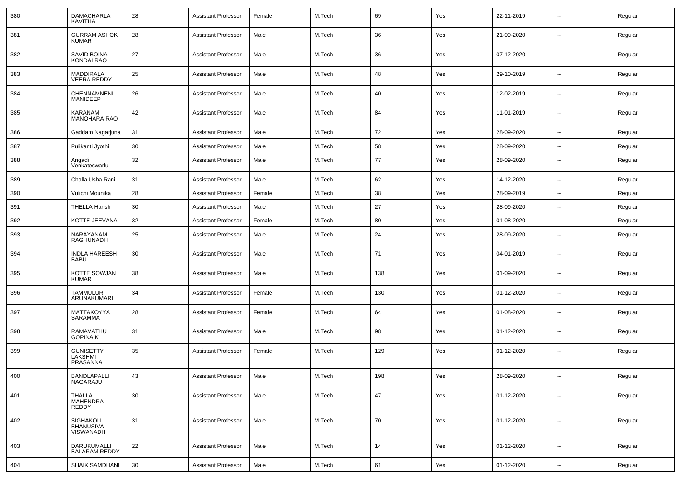| 380 | <b>DAMACHARLA</b><br><b>KAVITHA</b>            | 28 | <b>Assistant Professor</b> | Female | M.Tech | 69  | Yes | 22-11-2019 | $\overline{\phantom{a}}$ | Regular |
|-----|------------------------------------------------|----|----------------------------|--------|--------|-----|-----|------------|--------------------------|---------|
| 381 | <b>GURRAM ASHOK</b><br><b>KUMAR</b>            | 28 | <b>Assistant Professor</b> | Male   | M.Tech | 36  | Yes | 21-09-2020 | ⊷.                       | Regular |
| 382 | SAVIDIBOINA<br><b>KONDALRAO</b>                | 27 | <b>Assistant Professor</b> | Male   | M.Tech | 36  | Yes | 07-12-2020 | $\overline{\phantom{a}}$ | Regular |
| 383 | <b>MADDIRALA</b><br><b>VEERA REDDY</b>         | 25 | <b>Assistant Professor</b> | Male   | M.Tech | 48  | Yes | 29-10-2019 | $\overline{\phantom{a}}$ | Regular |
| 384 | CHENNAMNENI<br><b>MANIDEEP</b>                 | 26 | <b>Assistant Professor</b> | Male   | M.Tech | 40  | Yes | 12-02-2019 | ⊷.                       | Regular |
| 385 | KARANAM<br><b>MANOHARA RAO</b>                 | 42 | <b>Assistant Professor</b> | Male   | M.Tech | 84  | Yes | 11-01-2019 | $\overline{\phantom{a}}$ | Regular |
| 386 | Gaddam Nagarjuna                               | 31 | <b>Assistant Professor</b> | Male   | M.Tech | 72  | Yes | 28-09-2020 | $\overline{\phantom{a}}$ | Regular |
| 387 | Pulikanti Jyothi                               | 30 | <b>Assistant Professor</b> | Male   | M.Tech | 58  | Yes | 28-09-2020 | $\overline{a}$           | Regular |
| 388 | Angadi<br>Venkateswarlu                        | 32 | <b>Assistant Professor</b> | Male   | M.Tech | 77  | Yes | 28-09-2020 | --                       | Regular |
| 389 | Challa Usha Rani                               | 31 | <b>Assistant Professor</b> | Male   | M.Tech | 62  | Yes | 14-12-2020 | --                       | Regular |
| 390 | Vulichi Mounika                                | 28 | <b>Assistant Professor</b> | Female | M.Tech | 38  | Yes | 28-09-2019 | --                       | Regular |
| 391 | <b>THELLA Harish</b>                           | 30 | <b>Assistant Professor</b> | Male   | M.Tech | 27  | Yes | 28-09-2020 | ц,                       | Regular |
| 392 | KOTTE JEEVANA                                  | 32 | <b>Assistant Professor</b> | Female | M.Tech | 80  | Yes | 01-08-2020 | $\overline{\phantom{a}}$ | Regular |
| 393 | NARAYANAM<br>RAGHUNADH                         | 25 | <b>Assistant Professor</b> | Male   | M.Tech | 24  | Yes | 28-09-2020 | ⊷.                       | Regular |
| 394 | <b>INDLA HAREESH</b><br><b>BABU</b>            | 30 | <b>Assistant Professor</b> | Male   | M.Tech | 71  | Yes | 04-01-2019 | $\overline{\phantom{a}}$ | Regular |
| 395 | KOTTE SOWJAN<br><b>KUMAR</b>                   | 38 | <b>Assistant Professor</b> | Male   | M.Tech | 138 | Yes | 01-09-2020 | $\overline{\phantom{a}}$ | Regular |
| 396 | <b>TAMMULURI</b><br>ARUNAKUMARI                | 34 | <b>Assistant Professor</b> | Female | M.Tech | 130 | Yes | 01-12-2020 | $\overline{\phantom{a}}$ | Regular |
| 397 | MATTAKOYYA<br>SARAMMA                          | 28 | <b>Assistant Professor</b> | Female | M.Tech | 64  | Yes | 01-08-2020 | $\overline{\phantom{a}}$ | Regular |
| 398 | RAMAVATHU<br><b>GOPINAIK</b>                   | 31 | <b>Assistant Professor</b> | Male   | M.Tech | 98  | Yes | 01-12-2020 | ⊷.                       | Regular |
| 399 | <b>GUNISETTY</b><br>LAKSHMI<br><b>PRASANNA</b> | 35 | <b>Assistant Professor</b> | Female | M.Tech | 129 | Yes | 01-12-2020 | $\overline{\phantom{a}}$ | Regular |
| 400 | <b>BANDLAPALLI</b><br>NAGARAJU                 | 43 | <b>Assistant Professor</b> | Male   | M.Tech | 198 | Yes | 28-09-2020 | ⊷.                       | Regular |
| 401 | THALLA<br><b>MAHENDRA</b><br><b>REDDY</b>      | 30 | <b>Assistant Professor</b> | Male   | M.Tech | 47  | Yes | 01-12-2020 | $\sim$                   | Regular |
| 402 | SIGHAKOLLI<br>BHANUSIVA<br><b>VISWANADH</b>    | 31 | <b>Assistant Professor</b> | Male   | M.Tech | 70  | Yes | 01-12-2020 | Ξ.                       | Regular |
| 403 | DARUKUMALLI<br><b>BALARAM REDDY</b>            | 22 | <b>Assistant Professor</b> | Male   | M.Tech | 14  | Yes | 01-12-2020 | $\overline{\phantom{a}}$ | Regular |
| 404 | SHAIK SAMDHANI                                 | 30 | <b>Assistant Professor</b> | Male   | M.Tech | 61  | Yes | 01-12-2020 | $\sim$                   | Regular |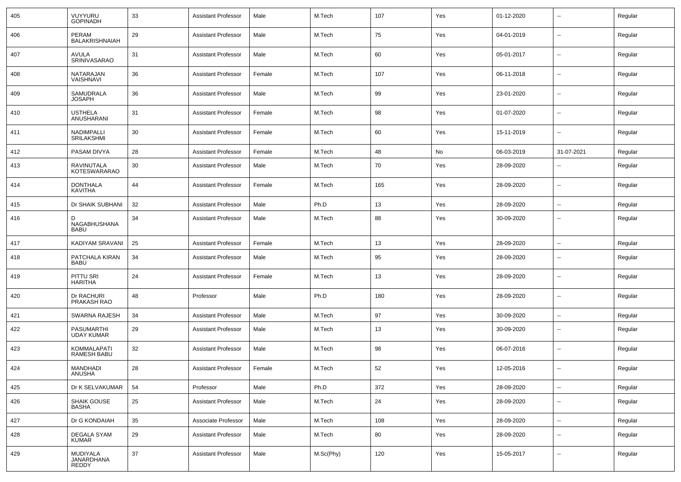| 405 | VUYYURU<br><b>GOPINADH</b>               | 33 | Assistant Professor        | Male   | M.Tech    | 107 | Yes | 01-12-2020 | $\overline{\phantom{a}}$ | Regular |
|-----|------------------------------------------|----|----------------------------|--------|-----------|-----|-----|------------|--------------------------|---------|
| 406 | PERAM<br>BALAKRISHNAIAH                  | 29 | Assistant Professor        | Male   | M.Tech    | 75  | Yes | 04-01-2019 | $\sim$                   | Regular |
| 407 | AVULA<br>SRINIVASARAO                    | 31 | Assistant Professor        | Male   | M.Tech    | 60  | Yes | 05-01-2017 | $\sim$                   | Regular |
| 408 | NATARAJAN<br>VAISHNAVI                   | 36 | Assistant Professor        | Female | M.Tech    | 107 | Yes | 06-11-2018 | $\sim$                   | Regular |
| 409 | SAMUDRALA<br><b>JOSAPH</b>               | 36 | Assistant Professor        | Male   | M.Tech    | 99  | Yes | 23-01-2020 | $\sim$                   | Regular |
| 410 | <b>USTHELA</b><br>ANUSHARANI             | 31 | Assistant Professor        | Female | M.Tech    | 98  | Yes | 01-07-2020 | $\sim$                   | Regular |
| 411 | NADIMPALLI<br><b>SRILAKSHMI</b>          | 30 | Assistant Professor        | Female | M.Tech    | 60  | Yes | 15-11-2019 | $\sim$                   | Regular |
| 412 | PASAM DIVYA                              | 28 | Assistant Professor        | Female | M.Tech    | 48  | No  | 06-03-2019 | 31-07-2021               | Regular |
| 413 | <b>RAVINUTALA</b><br><b>KOTESWARARAO</b> | 30 | Assistant Professor        | Male   | M.Tech    | 70  | Yes | 28-09-2020 | --                       | Regular |
| 414 | <b>DONTHALA</b><br>KAVITHA               | 44 | <b>Assistant Professor</b> | Female | M.Tech    | 165 | Yes | 28-09-2020 | --                       | Regular |
| 415 | Dr SHAIK SUBHANI                         | 32 | <b>Assistant Professor</b> | Male   | Ph.D      | 13  | Yes | 28-09-2020 | --                       | Regular |
| 416 | D<br>NAGABHUSHANA<br><b>BABU</b>         | 34 | <b>Assistant Professor</b> | Male   | M.Tech    | 88  | Yes | 30-09-2020 | $\overline{\phantom{a}}$ | Regular |
| 417 | KADIYAM SRAVANI                          | 25 | <b>Assistant Professor</b> | Female | M.Tech    | 13  | Yes | 28-09-2020 | --                       | Regular |
| 418 | PATCHALA KIRAN<br><b>BABU</b>            | 34 | <b>Assistant Professor</b> | Male   | M.Tech    | 95  | Yes | 28-09-2020 | $\overline{\phantom{a}}$ | Regular |
| 419 | PITTU SRI<br><b>HARITHA</b>              | 24 | <b>Assistant Professor</b> | Female | M.Tech    | 13  | Yes | 28-09-2020 | $\overline{\phantom{a}}$ | Regular |
| 420 | Dr RACHURI<br>PRAKASH RAO                | 48 | Professor                  | Male   | Ph.D      | 180 | Yes | 28-09-2020 | $\overline{\phantom{a}}$ | Regular |
| 421 | SWARNA RAJESH                            | 34 | <b>Assistant Professor</b> | Male   | M.Tech    | 97  | Yes | 30-09-2020 |                          | Regular |
| 422 | PASUMARTHI<br><b>UDAY KUMAR</b>          | 29 | <b>Assistant Professor</b> | Male   | M.Tech    | 13  | Yes | 30-09-2020 | --                       | Regular |
| 423 | KOMMALAPATI<br><b>RAMESH BABU</b>        | 32 | <b>Assistant Professor</b> | Male   | M.Tech    | 98  | Yes | 06-07-2016 | $\overline{\phantom{a}}$ | Regular |
| 424 | <b>MANDHADI</b><br>ANUSHA                | 28 | <b>Assistant Professor</b> | Female | M.Tech    | 52  | Yes | 12-05-2016 | $\overline{\phantom{a}}$ | Regular |
| 425 | Dr K SELVAKUMAR                          | 54 | Professor                  | Male   | Ph.D      | 372 | Yes | 28-09-2020 | $\mathbf{u}$             | Regular |
| 426 | SHAIK GOUSE<br>BASHA                     | 25 | <b>Assistant Professor</b> | Male   | M.Tech    | 24  | Yes | 28-09-2020 | $\overline{\phantom{a}}$ | Regular |
| 427 | Dr G KONDAIAH                            | 35 | Associate Professor        | Male   | M.Tech    | 108 | Yes | 28-09-2020 | $\sim$                   | Regular |
| 428 | <b>DEGALA SYAM</b><br><b>KUMAR</b>       | 29 | Assistant Professor        | Male   | M.Tech    | 80  | Yes | 28-09-2020 | $\sim$                   | Regular |
| 429 | MUDIYALA<br>JANARDHANA<br><b>REDDY</b>   | 37 | <b>Assistant Professor</b> | Male   | M.Sc(Phy) | 120 | Yes | 15-05-2017 | $\mathbf{u}$             | Regular |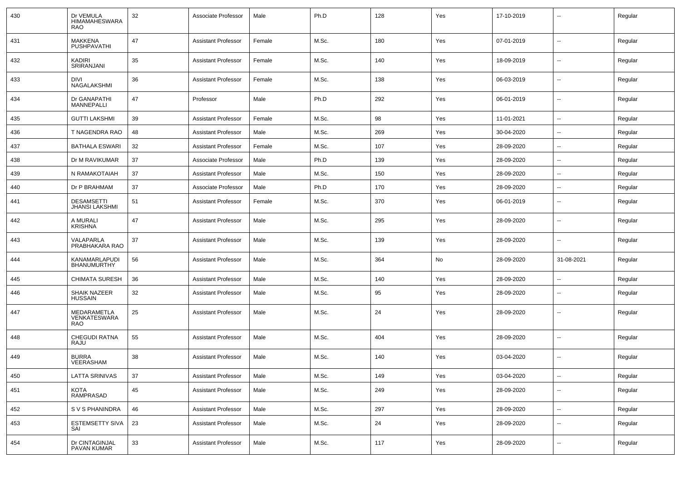| 430 | Dr VEMULA<br><b>HIMAMAHESWARA</b><br><b>RAO</b> | 32 | Associate Professor        | Male   | Ph.D  | 128 | Yes | 17-10-2019 | --             | Regular |
|-----|-------------------------------------------------|----|----------------------------|--------|-------|-----|-----|------------|----------------|---------|
| 431 | <b>MAKKENA</b><br>PUSHPAVATHI                   | 47 | <b>Assistant Professor</b> | Female | M.Sc. | 180 | Yes | 07-01-2019 | Ξ.             | Regular |
| 432 | KADIRI<br>SRIRANJANI                            | 35 | <b>Assistant Professor</b> | Female | M.Sc. | 140 | Yes | 18-09-2019 | Ξ.             | Regular |
| 433 | DIVI<br>NAGALAKSHMI                             | 36 | <b>Assistant Professor</b> | Female | M.Sc. | 138 | Yes | 06-03-2019 | --             | Regular |
| 434 | Dr GANAPATHI<br>MANNEPALLI                      | 47 | Professor                  | Male   | Ph.D  | 292 | Yes | 06-01-2019 | Ξ.             | Regular |
| 435 | <b>GUTTI LAKSHMI</b>                            | 39 | <b>Assistant Professor</b> | Female | M.Sc. | 98  | Yes | 11-01-2021 | $\sim$         | Regular |
| 436 | T NAGENDRA RAO                                  | 48 | <b>Assistant Professor</b> | Male   | M.Sc. | 269 | Yes | 30-04-2020 | $\sim$         | Regular |
| 437 | <b>BATHALA ESWARI</b>                           | 32 | <b>Assistant Professor</b> | Female | M.Sc. | 107 | Yes | 28-09-2020 | $\overline{a}$ | Regular |
| 438 | Dr M RAVIKUMAR                                  | 37 | Associate Professor        | Male   | Ph.D  | 139 | Yes | 28-09-2020 | Ξ.             | Regular |
| 439 | N RAMAKOTAIAH                                   | 37 | <b>Assistant Professor</b> | Male   | M.Sc. | 150 | Yes | 28-09-2020 | $\sim$         | Regular |
| 440 | Dr P BRAHMAM                                    | 37 | Associate Professor        | Male   | Ph.D  | 170 | Yes | 28-09-2020 | $\sim$         | Regular |
| 441 | <b>DESAMSETTI</b><br><b>JHANSI LAKSHMI</b>      | 51 | <b>Assistant Professor</b> | Female | M.Sc. | 370 | Yes | 06-01-2019 | Ξ.             | Regular |
| 442 | A MURALI<br><b>KRISHNA</b>                      | 47 | <b>Assistant Professor</b> | Male   | M.Sc. | 295 | Yes | 28-09-2020 | --             | Regular |
| 443 | VALAPARLA<br>PRABHAKARA RAO                     | 37 | <b>Assistant Professor</b> | Male   | M.Sc. | 139 | Yes | 28-09-2020 | $\sim$         | Regular |
| 444 | KANAMARLAPUDI<br><b>BHANUMURTHY</b>             | 56 | <b>Assistant Professor</b> | Male   | M.Sc. | 364 | No  | 28-09-2020 | 31-08-2021     | Regular |
| 445 | <b>CHIMATA SURESH</b>                           | 36 | <b>Assistant Professor</b> | Male   | M.Sc. | 140 | Yes | 28-09-2020 | Ξ.             | Regular |
| 446 | <b>SHAIK NAZEER</b><br><b>HUSSAIN</b>           | 32 | <b>Assistant Professor</b> | Male   | M.Sc. | 95  | Yes | 28-09-2020 | $\sim$         | Regular |
| 447 | MEDARAMETLA<br>VENKATESWARA<br><b>RAO</b>       | 25 | <b>Assistant Professor</b> | Male   | M.Sc. | 24  | Yes | 28-09-2020 | $\sim$         | Regular |
| 448 | <b>CHEGUDI RATNA</b><br>RAJU                    | 55 | <b>Assistant Professor</b> | Male   | M.Sc. | 404 | Yes | 28-09-2020 | $\sim$         | Regular |
| 449 | <b>BURRA</b><br>VEERASHAM                       | 38 | <b>Assistant Professor</b> | Male   | M.Sc. | 140 | Yes | 03-04-2020 | Ξ.             | Regular |
| 450 | <b>LATTA SRINIVAS</b>                           | 37 | <b>Assistant Professor</b> | Male   | M.Sc. | 149 | Yes | 03-04-2020 | $\sim$         | Regular |
| 451 | KOTA<br>RAMPRASAD                               | 45 | <b>Assistant Professor</b> | Male   | M.Sc. | 249 | Yes | 28-09-2020 | $\sim$         | Regular |
| 452 | S V S PHANINDRA                                 | 46 | <b>Assistant Professor</b> | Male   | M.Sc. | 297 | Yes | 28-09-2020 | ш.             | Regular |
| 453 | <b>ESTEMSETTY SIVA</b><br>SAI                   | 23 | <b>Assistant Professor</b> | Male   | M.Sc. | 24  | Yes | 28-09-2020 | $\sim$         | Regular |
| 454 | Dr CINTAGINJAL<br>PAVAN KUMAR                   | 33 | <b>Assistant Professor</b> | Male   | M.Sc. | 117 | Yes | 28-09-2020 | $\sim$         | Regular |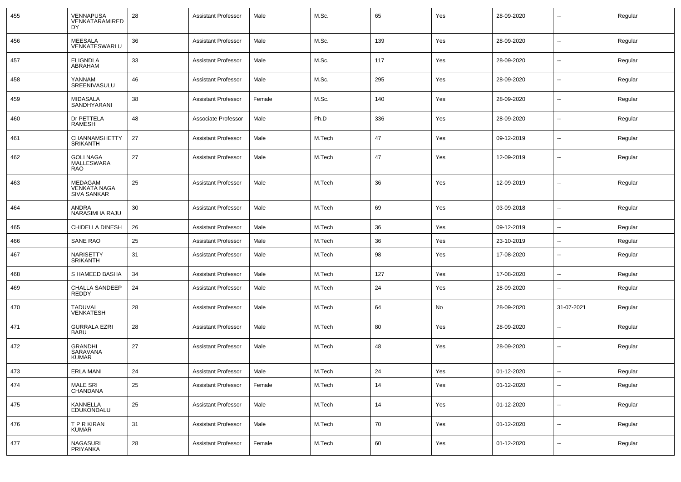| 455 | VENNAPUSA<br>VENKATARAMIRED<br>DY.                          | 28 | <b>Assistant Professor</b> | Male   | M.Sc.  | 65     | Yes | 28-09-2020 |                          | Regular |
|-----|-------------------------------------------------------------|----|----------------------------|--------|--------|--------|-----|------------|--------------------------|---------|
| 456 | <b>MEESALA</b><br>VENKATESWARLU                             | 36 | <b>Assistant Professor</b> | Male   | M.Sc.  | 139    | Yes | 28-09-2020 | --                       | Regular |
| 457 | <b>ELIGNDLA</b><br>ABRAHAM                                  | 33 | <b>Assistant Professor</b> | Male   | M.Sc.  | 117    | Yes | 28-09-2020 | $\overline{\phantom{a}}$ | Regular |
| 458 | YANNAM<br>SREENIVASULU                                      | 46 | <b>Assistant Professor</b> | Male   | M.Sc.  | 295    | Yes | 28-09-2020 | $\overline{\phantom{a}}$ | Regular |
| 459 | MIDASALA<br>SANDHYARANI                                     | 38 | <b>Assistant Professor</b> | Female | M.Sc.  | 140    | Yes | 28-09-2020 | --                       | Regular |
| 460 | Dr PETTELA<br>RAMESH                                        | 48 | Associate Professor        | Male   | Ph.D   | 336    | Yes | 28-09-2020 | --                       | Regular |
| 461 | CHANNAMSHETTY<br><b>SRIKANTH</b>                            | 27 | <b>Assistant Professor</b> | Male   | M.Tech | 47     | Yes | 09-12-2019 | --                       | Regular |
| 462 | <b>GOLI NAGA</b><br>MALLESWARA<br><b>RAO</b>                | 27 | <b>Assistant Professor</b> | Male   | M.Tech | 47     | Yes | 12-09-2019 | $\overline{a}$           | Regular |
| 463 | <b>MEDAGAM</b><br><b>VENKATA NAGA</b><br><b>SIVA SANKAR</b> | 25 | <b>Assistant Professor</b> | Male   | M.Tech | 36     | Yes | 12-09-2019 | -−                       | Regular |
| 464 | ANDRA<br>NARASIMHA RAJU                                     | 30 | <b>Assistant Professor</b> | Male   | M.Tech | 69     | Yes | 03-09-2018 | --                       | Regular |
| 465 | CHIDELLA DINESH                                             | 26 | <b>Assistant Professor</b> | Male   | M.Tech | 36     | Yes | 09-12-2019 | --                       | Regular |
| 466 | <b>SANE RAO</b>                                             | 25 | <b>Assistant Professor</b> | Male   | M.Tech | 36     | Yes | 23-10-2019 | ⊷.                       | Regular |
| 467 | NARISETTY<br><b>SRIKANTH</b>                                | 31 | <b>Assistant Professor</b> | Male   | M.Tech | 98     | Yes | 17-08-2020 | ⊷.                       | Regular |
| 468 | S HAMEED BASHA                                              | 34 | <b>Assistant Professor</b> | Male   | M.Tech | 127    | Yes | 17-08-2020 | $\overline{\phantom{a}}$ | Regular |
| 469 | CHALLA SANDEEP<br>REDDY                                     | 24 | <b>Assistant Professor</b> | Male   | M.Tech | 24     | Yes | 28-09-2020 | ⊷.                       | Regular |
| 470 | <b>TADUVAI</b><br><b>VENKATESH</b>                          | 28 | <b>Assistant Professor</b> | Male   | M.Tech | 64     | No  | 28-09-2020 | 31-07-2021               | Regular |
| 471 | <b>GURRALA EZRI</b><br><b>BABU</b>                          | 28 | <b>Assistant Professor</b> | Male   | M.Tech | 80     | Yes | 28-09-2020 | --                       | Regular |
| 472 | <b>GRANDHI</b><br>SARAVANA<br><b>KUMAR</b>                  | 27 | <b>Assistant Professor</b> | Male   | M.Tech | 48     | Yes | 28-09-2020 | --                       | Regular |
| 473 | <b>ERLA MANI</b>                                            | 24 | Assistant Professor        | Male   | M.Tech | $24\,$ | Yes | 01-12-2020 | --                       | Regular |
| 474 | MALE SRI<br>CHANDANA                                        | 25 | <b>Assistant Professor</b> | Female | M.Tech | 14     | Yes | 01-12-2020 | $\sim$                   | Regular |
| 475 | KANNELLA<br><b>EDUKONDALU</b>                               | 25 | <b>Assistant Professor</b> | Male   | M.Tech | 14     | Yes | 01-12-2020 | $\sim$                   | Regular |
| 476 | <b>TPRKIRAN</b><br>KUMAR                                    | 31 | <b>Assistant Professor</b> | Male   | M.Tech | 70     | Yes | 01-12-2020 | $\sim$                   | Regular |
| 477 | NAGASURI<br>PRIYANKA                                        | 28 | <b>Assistant Professor</b> | Female | M.Tech | 60     | Yes | 01-12-2020 | ⊷.                       | Regular |